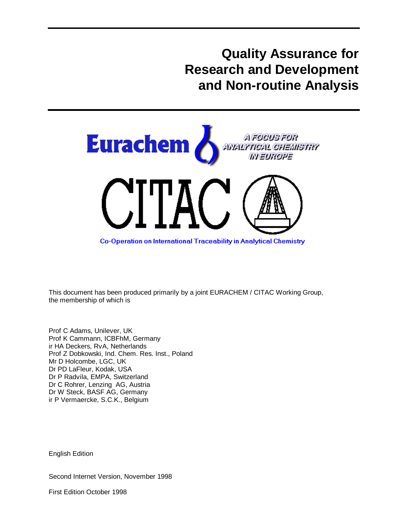# **Quality Assurance for Research and Development and Non-routine Analysis**



This document has been produced primarily by a joint EURACHEM / CITAC Working Group, the membership of which is

Prof C Adams, Unilever, UK Prof K Cammann, ICBFhM, Germany ir HA Deckers, RvA, Netherlands Prof Z Dobkowski, Ind. Chem. Res. Inst., Poland Mr D Holcombe, LGC, UK Dr PD LaFleur, Kodak, USA Dr P Radvila, EMPA, Switzerland Dr C Rohrer, Lenzing AG, Austria Dr W Steck, BASF AG, Germany ir P Vermaercke, S.C.K., Belgium

English Edition

Second Internet Version, November 1998

First Edition October 1998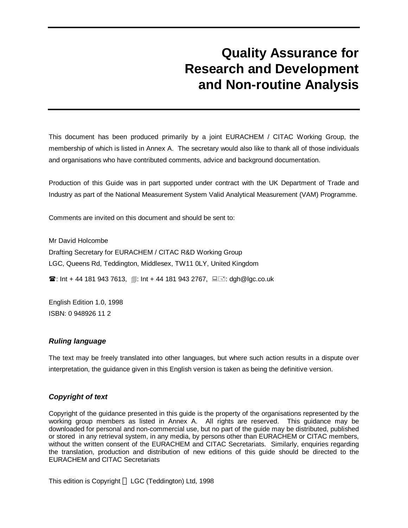# **Quality Assurance for Research and Development and Non-routine Analysis**

This document has been produced primarily by a joint EURACHEM / CITAC Working Group, the membership of which is listed in Annex A. The secretary would also like to thank all of those individuals and organisations who have contributed comments, advice and background documentation.

Production of this Guide was in part supported under contract with the UK Department of Trade and Industry as part of the National Measurement System Valid Analytical Measurement (VAM) Programme.

Comments are invited on this document and should be sent to:

Mr David Holcombe Drafting Secretary for EURACHEM / CITAC R&D Working Group LGC, Queens Rd, Teddington, Middlesex, TW11 0LY, United Kingdom

**■: Int + 44 181 943 7613,** *tex* : Int + 44 181 943 2767, as : dgh@lgc.co.uk

English Edition 1.0, 1998 ISBN: 0 948926 11 2

# *Ruling language*

The text may be freely translated into other languages, but where such action results in a dispute over interpretation, the guidance given in this English version is taken as being the definitive version.

# *Copyright of text*

Copyright of the guidance presented in this guide is the property of the organisations represented by the working group members as listed in Annex A. All rights are reserved. This guidance may be downloaded for personal and non-commercial use, but no part of the guide may be distributed, published or stored in any retrieval system, in any media, by persons other than EURACHEM or CITAC members, without the written consent of the EURACHEM and CITAC Secretariats. Similarly, enquiries regarding the translation, production and distribution of new editions of this guide should be directed to the EURACHEM and CITAC Secretariats

This edition is Copyright © LGC (Teddington) Ltd, 1998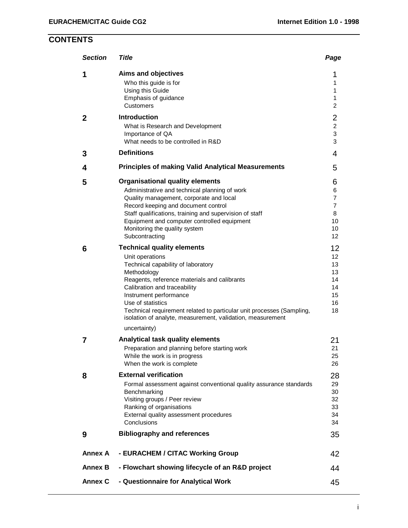# **CONTENTS**

| <b>Section</b> | <b>Title</b>                                                                                                                                                                                                                                                                                                                                                                                    | Page                                                              |
|----------------|-------------------------------------------------------------------------------------------------------------------------------------------------------------------------------------------------------------------------------------------------------------------------------------------------------------------------------------------------------------------------------------------------|-------------------------------------------------------------------|
| 1              | <b>Aims and objectives</b><br>Who this guide is for<br>Using this Guide<br>Emphasis of guidance<br><b>Customers</b>                                                                                                                                                                                                                                                                             | 1<br>1<br>1<br>1<br>$\overline{2}$                                |
| $\mathbf 2$    | <b>Introduction</b><br>What is Research and Development<br>Importance of QA<br>What needs to be controlled in R&D                                                                                                                                                                                                                                                                               | $\overline{2}$<br>$\overline{c}$<br>3<br>3                        |
| 3              | <b>Definitions</b>                                                                                                                                                                                                                                                                                                                                                                              | 4                                                                 |
| 4              | <b>Principles of making Valid Analytical Measurements</b>                                                                                                                                                                                                                                                                                                                                       | 5                                                                 |
| 5              | <b>Organisational quality elements</b><br>Administrative and technical planning of work<br>Quality management, corporate and local<br>Record keeping and document control<br>Staff qualifications, training and supervision of staff<br>Equipment and computer controlled equipment<br>Monitoring the quality system<br>Subcontracting                                                          | 6<br>6<br>$\overline{7}$<br>$\overline{7}$<br>8<br>10<br>10<br>12 |
| 6              | <b>Technical quality elements</b><br>Unit operations<br>Technical capability of laboratory<br>Methodology<br>Reagents, reference materials and calibrants<br>Calibration and traceability<br>Instrument performance<br>Use of statistics<br>Technical requirement related to particular unit processes (Sampling,<br>isolation of analyte, measurement, validation, measurement<br>uncertainty) | 12<br>12<br>13<br>13<br>14<br>14<br>15<br>16<br>18                |
| 7              | Analytical task quality elements<br>Preparation and planning before starting work<br>While the work is in progress<br>When the work is complete                                                                                                                                                                                                                                                 | 21<br>21<br>25<br>26                                              |
| 8              | <b>External verification</b><br>Formal assessment against conventional quality assurance standards<br>Benchmarking<br>Visiting groups / Peer review<br>Ranking of organisations<br>External quality assessment procedures<br>Conclusions                                                                                                                                                        | 28<br>29<br>30<br>32<br>33<br>34<br>34                            |
| 9              | <b>Bibliography and references</b>                                                                                                                                                                                                                                                                                                                                                              | 35                                                                |
| <b>Annex A</b> | - EURACHEM / CITAC Working Group                                                                                                                                                                                                                                                                                                                                                                | 42                                                                |
| <b>Annex B</b> | - Flowchart showing lifecycle of an R&D project                                                                                                                                                                                                                                                                                                                                                 | 44                                                                |
| <b>Annex C</b> | - Questionnaire for Analytical Work                                                                                                                                                                                                                                                                                                                                                             | 45                                                                |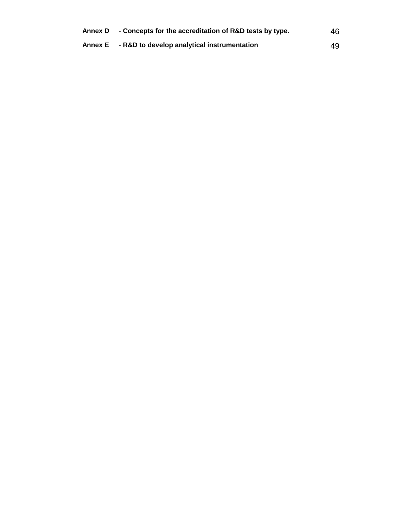| Annex D | - Concepts for the accreditation of R&D tests by type. | 46. |
|---------|--------------------------------------------------------|-----|
| Annex E | - R&D to develop analytical instrumentation            | 49. |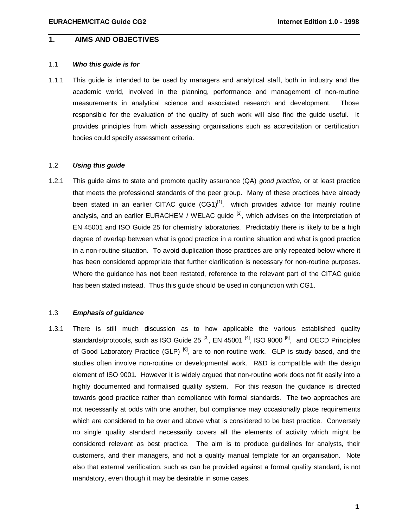# **1. AIMS AND OBJECTIVES**

#### 1.1 *Who this guide is for*

1.1.1 This guide is intended to be used by managers and analytical staff, both in industry and the academic world, involved in the planning, performance and management of non-routine measurements in analytical science and associated research and development. Those responsible for the evaluation of the quality of such work will also find the guide useful. It provides principles from which assessing organisations such as accreditation or certification bodies could specify assessment criteria.

#### 1.2 *Using this guide*

1.2.1 This guide aims to state and promote quality assurance (QA) *good practice*, or at least practice that meets the professional standards of the peer group. Many of these practices have already been stated in an earlier CITAC guide  $(CG1)^{[1]}$ , which provides advice for mainly routine analysis, and an earlier EURACHEM / WELAC guide  $^{[2]}$ , which advises on the interpretation of EN 45001 and ISO Guide 25 for chemistry laboratories. Predictably there is likely to be a high degree of overlap between what is good practice in a routine situation and what is good practice in a non-routine situation. To avoid duplication those practices are only repeated below where it has been considered appropriate that further clarification is necessary for non-routine purposes. Where the guidance has **not** been restated, reference to the relevant part of the CITAC guide has been stated instead. Thus this guide should be used in conjunction with CG1.

#### 1.3 *Emphasis of guidance*

1.3.1 There is still much discussion as to how applicable the various established quality standards/protocols, such as ISO Guide  $25^{[3]}$ , EN 45001<sup>[4]</sup>, ISO 9000<sup>[5]</sup>, and OECD Principles of Good Laboratory Practice (GLP)  $^{[6]}$ , are to non-routine work. GLP is study based, and the studies often involve non-routine or developmental work. R&D is compatible with the design element of ISO 9001. However it is widely argued that non-routine work does not fit easily into a highly documented and formalised quality system. For this reason the guidance is directed towards good practice rather than compliance with formal standards. The two approaches are not necessarily at odds with one another, but compliance may occasionally place requirements which are considered to be over and above what is considered to be best practice. Conversely no single quality standard necessarily covers all the elements of activity which might be considered relevant as best practice. The aim is to produce guidelines for analysts, their customers, and their managers, and not a quality manual template for an organisation. Note also that external verification, such as can be provided against a formal quality standard, is not mandatory, even though it may be desirable in some cases.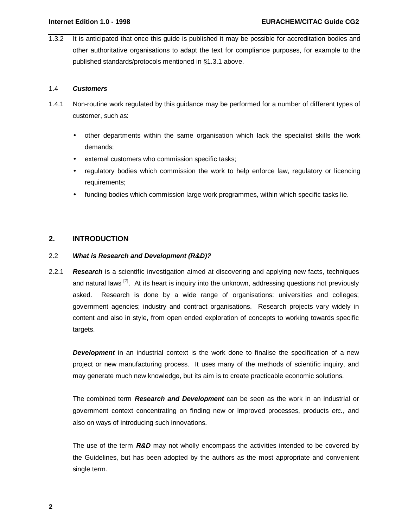1.3.2 It is anticipated that once this guide is published it may be possible for accreditation bodies and other authoritative organisations to adapt the text for compliance purposes, for example to the published standards/protocols mentioned in §1.3.1 above.

## 1.4 *Customers*

- 1.4.1 Non-routine work regulated by this guidance may be performed for a number of different types of customer, such as:
	- other departments within the same organisation which lack the specialist skills the work demands;
	- external customers who commission specific tasks;
	- regulatory bodies which commission the work to help enforce law, regulatory or licencing requirements;
	- funding bodies which commission large work programmes, within which specific tasks lie.

# **2. INTRODUCTION**

## 2.2 *What is Research and Development (R&D)?*

2.2.1 *Research* is a scientific investigation aimed at discovering and applying new facts, techniques and natural laws <sup>[7]</sup>. At its heart is inquiry into the unknown, addressing questions not previously asked. Research is done by a wide range of organisations: universities and colleges; government agencies; industry and contract organisations. Research projects vary widely in content and also in style, from open ended exploration of concepts to working towards specific targets.

**Development** in an industrial context is the work done to finalise the specification of a new project or new manufacturing process. It uses many of the methods of scientific inquiry, and may generate much new knowledge, but its aim is to create practicable economic solutions.

The combined term *Research and Development* can be seen as the work in an industrial or government context concentrating on finding new or improved processes, products *etc.*, and also on ways of introducing such innovations.

The use of the term *R&D* may not wholly encompass the activities intended to be covered by the Guidelines, but has been adopted by the authors as the most appropriate and convenient single term.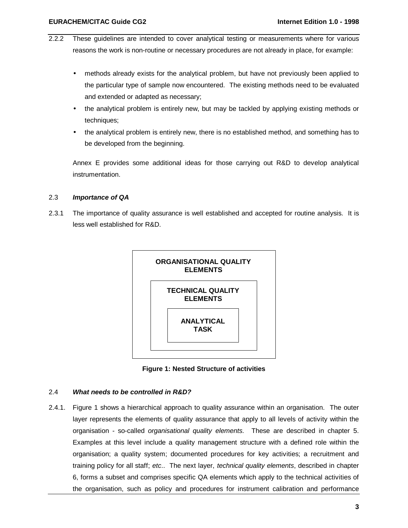- 2.2.2 These guidelines are intended to cover analytical testing or measurements where for various reasons the work is non-routine or necessary procedures are not already in place, for example:
	- methods already exists for the analytical problem, but have not previously been applied to the particular type of sample now encountered. The existing methods need to be evaluated and extended or adapted as necessary;
	- the analytical problem is entirely new, but may be tackled by applying existing methods or techniques;
	- the analytical problem is entirely new, there is no established method, and something has to be developed from the beginning.

Annex E provides some additional ideas for those carrying out R&D to develop analytical instrumentation.

## 2.3 *Importance of QA*

2.3.1 The importance of quality assurance is well established and accepted for routine analysis. It is less well established for R&D.



**Figure 1: Nested Structure of activities**

#### 2.4 *What needs to be controlled in R&D?*

2.4.1. Figure 1 shows a hierarchical approach to quality assurance within an organisation. The outer layer represents the elements of quality assurance that apply to all levels of activity within the organisation - so-called *organisational quality elements.* These are described in chapter 5. Examples at this level include a quality management structure with a defined role within the organisation; a quality system; documented procedures for key activities; a recruitment and training policy for all staff; *etc*.. The next layer, *technical quality elements*, described in chapter 6, forms a subset and comprises specific QA elements which apply to the technical activities of the organisation, such as policy and procedures for instrument calibration and performance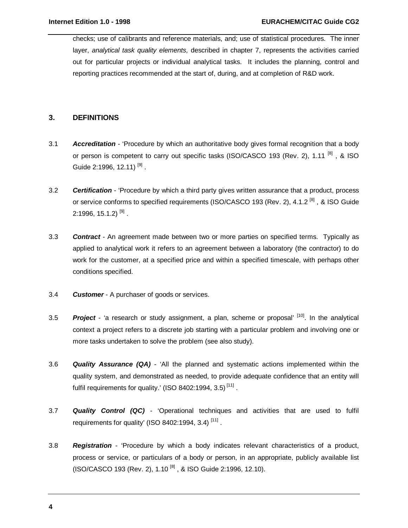checks; use of calibrants and reference materials, and; use of statistical procedures. The inner layer, *analytical task quality elements,* described in chapter 7, represents the activities carried out for particular projects or individual analytical tasks. It includes the planning, control and reporting practices recommended at the start of, during, and at completion of R&D work.

# **3. DEFINITIONS**

- 3.1 *Accreditation* 'Procedure by which an authoritative body gives formal recognition that a body or person is competent to carry out specific tasks (ISO/CASCO 193 (Rev. 2), 1.11<sup>[8]</sup>, & ISO Guide 2:1996, 12.11)<sup>[9]</sup> .
- 3.2 *Certification* 'Procedure by which a third party gives written assurance that a product, process or service conforms to specified requirements (ISO/CASCO 193 (Rev. 2), 4.1.2<sup>[8]</sup>, & ISO Guide 2:1996, 15.1.2) <sup>[9]</sup> .
- 3.3 *Contract* An agreement made between two or more parties on specified terms. Typically as applied to analytical work it refers to an agreement between a laboratory (the contractor) to do work for the customer, at a specified price and within a specified timescale, with perhaps other conditions specified.
- 3.4 *Customer* A purchaser of goods or services.
- 3.5 *Project* 'a research or study assignment, a plan, scheme or proposal' [10]. In the analytical context a project refers to a discrete job starting with a particular problem and involving one or more tasks undertaken to solve the problem (see also study).
- 3.6 *Quality Assurance (QA)* 'All the planned and systematic actions implemented within the quality system, and demonstrated as needed, to provide adequate confidence that an entity will fulfil requirements for quality.' (ISO 8402:1994, 3.5)<sup>[11]</sup>.
- 3.7 *Quality Control (QC)* 'Operational techniques and activities that are used to fulfil requirements for quality' (ISO 8402:1994, 3.4)  $^{[11]}$  .
- 3.8 *Registration* 'Procedure by which a body indicates relevant characteristics of a product, process or service, or particulars of a body or person, in an appropriate, publicly available list (ISO/CASCO 193 (Rev. 2), 1.10 [8] , & ISO Guide 2:1996, 12.10).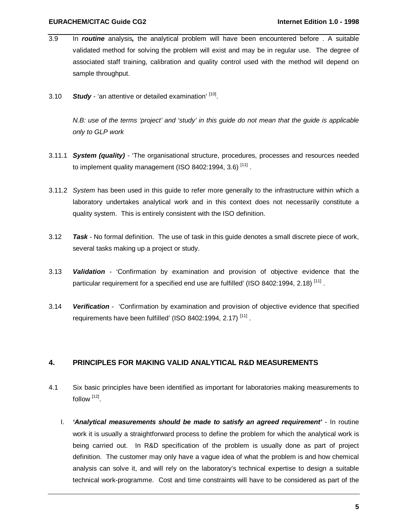- 3.9 In *routine* analysis*,* the analytical problem will have been encountered before . A suitable validated method for solving the problem will exist and may be in regular use. The degree of associated staff training, calibration and quality control used with the method will depend on sample throughput.
- 3.10 Study 'an attentive or detailed examination' <sup>[10]</sup>.

*N.B: use of the terms 'project' and 'study' in this guide do not mean that the guide is applicable only to GLP work*

- 3.11.1 *System (quality)* 'The organisational structure, procedures, processes and resources needed to implement quality management (ISO 8402:1994, 3.6)  $^{[11]}$  .
- 3.11.2 *System* has been used in this guide to refer more generally to the infrastructure within which a laboratory undertakes analytical work and in this context does not necessarily constitute a quality system. This is entirely consistent with the ISO definition.
- 3.12 *Task*  No formal definition. The use of task in this guide denotes a small discrete piece of work, several tasks making up a project or study.
- 3.13 *Validation* 'Confirmation by examination and provision of objective evidence that the particular requirement for a specified end use are fulfilled' (ISO 8402:1994, 2.18) <sup>[11]</sup> .
- 3.14 *Verification* 'Confirmation by examination and provision of objective evidence that specified requirements have been fulfilled' (ISO 8402:1994, 2.17)  $^{[11]}$  .

# **4. PRINCIPLES FOR MAKING VALID ANALYTICAL R&D MEASUREMENTS**

- 4.1 Six basic principles have been identified as important for laboratories making measurements to follow  $^{[12]}$ .
	- I. *'Analytical measurements should be made to satisfy an agreed requirement'* In routine work it is usually a straightforward process to define the problem for which the analytical work is being carried out. In R&D specification of the problem is usually done as part of project definition. The customer may only have a vague idea of what the problem is and how chemical analysis can solve it, and will rely on the laboratory's technical expertise to design a suitable technical work-programme. Cost and time constraints will have to be considered as part of the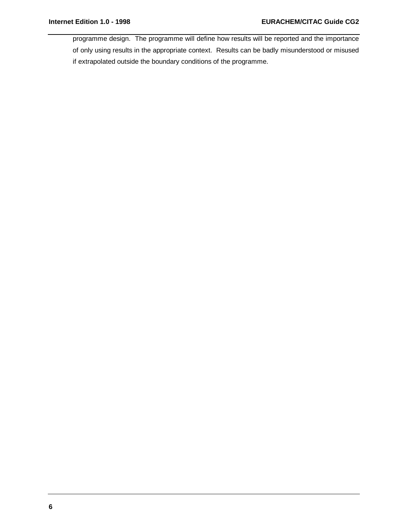programme design. The programme will define how results will be reported and the importance of only using results in the appropriate context. Results can be badly misunderstood or misused if extrapolated outside the boundary conditions of the programme.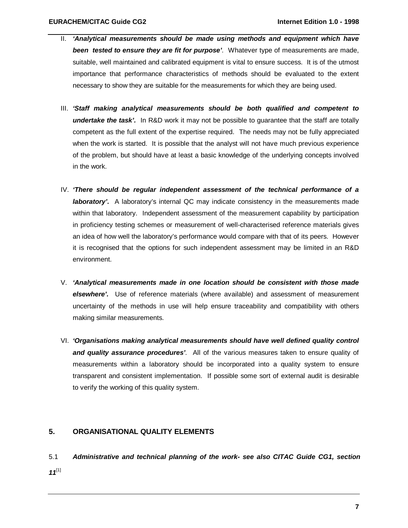- II. *'Analytical measurements should be made using methods and equipment which have been tested to ensure they are fit for purpose'.* Whatever type of measurements are made, suitable, well maintained and calibrated equipment is vital to ensure success. It is of the utmost importance that performance characteristics of methods should be evaluated to the extent necessary to show they are suitable for the measurements for which they are being used.
- III. *'Staff making analytical measurements should be both qualified and competent to undertake the task'.* In R&D work it may not be possible to guarantee that the staff are totally competent as the full extent of the expertise required. The needs may not be fully appreciated when the work is started. It is possible that the analyst will not have much previous experience of the problem, but should have at least a basic knowledge of the underlying concepts involved in the work.
- IV. *'There should be regular independent assessment of the technical performance of a* **laboratory'.** A laboratory's internal QC may indicate consistency in the measurements made within that laboratory. Independent assessment of the measurement capability by participation in proficiency testing schemes or measurement of well-characterised reference materials gives an idea of how well the laboratory's performance would compare with that of its peers. However it is recognised that the options for such independent assessment may be limited in an R&D environment.
- V. *'Analytical measurements made in one location should be consistent with those made elsewhere'.* Use of reference materials (where available) and assessment of measurement uncertainty of the methods in use will help ensure traceability and compatibility with others making similar measurements.
- VI. *'Organisations making analytical measurements should have well defined quality control and quality assurance procedures'.* All of the various measures taken to ensure quality of measurements within a laboratory should be incorporated into a quality system to ensure transparent and consistent implementation. If possible some sort of external audit is desirable to verify the working of this quality system.

# **5. ORGANISATIONAL QUALITY ELEMENTS**

5.1 *Administrative and technical planning of the work- see also CITAC Guide CG1, section 11*[1]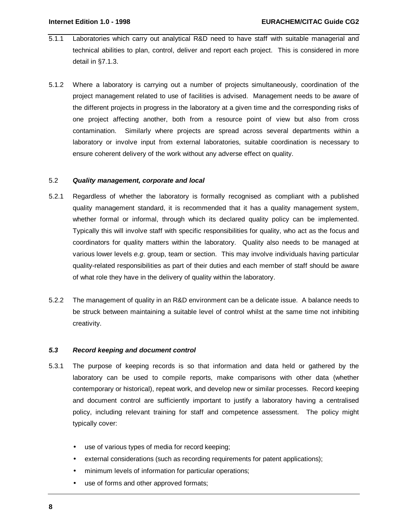- 5.1.1 Laboratories which carry out analytical R&D need to have staff with suitable managerial and technical abilities to plan, control, deliver and report each project. This is considered in more detail in §7.1.3.
- 5.1.2 Where a laboratory is carrying out a number of projects simultaneously, coordination of the project management related to use of facilities is advised. Management needs to be aware of the different projects in progress in the laboratory at a given time and the corresponding risks of one project affecting another, both from a resource point of view but also from cross contamination. Similarly where projects are spread across several departments within a laboratory or involve input from external laboratories, suitable coordination is necessary to ensure coherent delivery of the work without any adverse effect on quality.

## 5.2 *Quality management, corporate and local*

- 5.2.1 Regardless of whether the laboratory is formally recognised as compliant with a published quality management standard, it is recommended that it has a quality management system, whether formal or informal, through which its declared quality policy can be implemented. Typically this will involve staff with specific responsibilities for quality, who act as the focus and coordinators for quality matters within the laboratory. Quality also needs to be managed at various lower levels *e.g*. group, team or section. This may involve individuals having particular quality-related responsibilities as part of their duties and each member of staff should be aware of what role they have in the delivery of quality within the laboratory.
- 5.2.2 The management of quality in an R&D environment can be a delicate issue. A balance needs to be struck between maintaining a suitable level of control whilst at the same time not inhibiting creativity.

#### *5.3 Record keeping and document control*

- 5.3.1 The purpose of keeping records is so that information and data held or gathered by the laboratory can be used to compile reports, make comparisons with other data (whether contemporary or historical), repeat work, and develop new or similar processes. Record keeping and document control are sufficiently important to justify a laboratory having a centralised policy, including relevant training for staff and competence assessment. The policy might typically cover:
	- use of various types of media for record keeping;
	- external considerations (such as recording requirements for patent applications);
	- minimum levels of information for particular operations;
	- use of forms and other approved formats;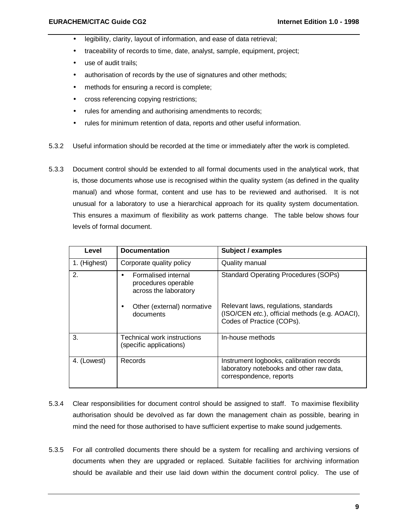- legibility, clarity, layout of information, and ease of data retrieval;
- traceability of records to time, date, analyst, sample, equipment, project;
- use of audit trails;
- authorisation of records by the use of signatures and other methods;
- methods for ensuring a record is complete;
- cross referencing copying restrictions;
- rules for amending and authorising amendments to records;
- rules for minimum retention of data, reports and other useful information.
- 5.3.2 Useful information should be recorded at the time or immediately after the work is completed.
- 5.3.3 Document control should be extended to all formal documents used in the analytical work, that is, those documents whose use is recognised within the quality system (as defined in the quality manual) and whose format, content and use has to be reviewed and authorised. It is not unusual for a laboratory to use a hierarchical approach for its quality system documentation. This ensures a maximum of flexibility as work patterns change. The table below shows four levels of formal document.

| Level        | <b>Documentation</b>                                                | Subject / examples                                                                                                   |
|--------------|---------------------------------------------------------------------|----------------------------------------------------------------------------------------------------------------------|
| 1. (Highest) | Corporate quality policy                                            | Quality manual                                                                                                       |
| 2.           | Formalised internal<br>procedures operable<br>across the laboratory | <b>Standard Operating Procedures (SOPs)</b>                                                                          |
|              | Other (external) normative<br>documents                             | Relevant laws, regulations, standards<br>(ISO/CEN etc.), official methods (e.g. AOACI),<br>Codes of Practice (COPs). |
| 3.           | Technical work instructions<br>(specific applications)              | In-house methods                                                                                                     |
| 4. (Lowest)  | Records                                                             | Instrument logbooks, calibration records<br>laboratory notebooks and other raw data,<br>correspondence, reports      |

- 5.3.4 Clear responsibilities for document control should be assigned to staff. To maximise flexibility authorisation should be devolved as far down the management chain as possible, bearing in mind the need for those authorised to have sufficient expertise to make sound judgements.
- 5.3.5 For all controlled documents there should be a system for recalling and archiving versions of documents when they are upgraded or replaced. Suitable facilities for archiving information should be available and their use laid down within the document control policy. The use of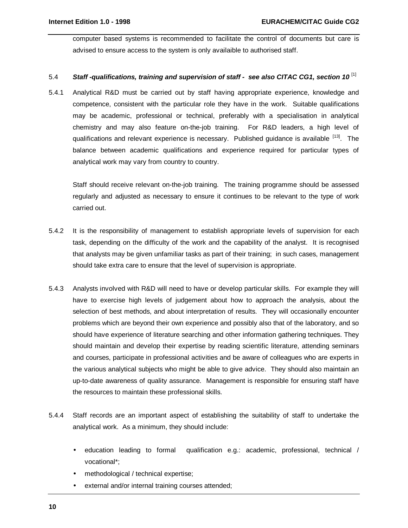computer based systems is recommended to facilitate the control of documents but care is advised to ensure access to the system is only availaible to authorised staff.

# 5.4 *Staff -qualifications, training and supervision of staff - see also CITAC CG1, section 10* [1]

5.4.1 Analytical R&D must be carried out by staff having appropriate experience, knowledge and competence, consistent with the particular role they have in the work. Suitable qualifications may be academic, professional or technical, preferably with a specialisation in analytical chemistry and may also feature on-the-job training. For R&D leaders, a high level of qualifications and relevant experience is necessary. Published guidance is available  $\frac{13}{3}$ . The balance between academic qualifications and experience required for particular types of analytical work may vary from country to country.

Staff should receive relevant on-the-job training. The training programme should be assessed regularly and adjusted as necessary to ensure it continues to be relevant to the type of work carried out.

- 5.4.2 It is the responsibility of management to establish appropriate levels of supervision for each task, depending on the difficulty of the work and the capability of the analyst. It is recognised that analysts may be given unfamiliar tasks as part of their training; in such cases, management should take extra care to ensure that the level of supervision is appropriate.
- 5.4.3 Analysts involved with R&D will need to have or develop particular skills. For example they will have to exercise high levels of judgement about how to approach the analysis, about the selection of best methods, and about interpretation of results. They will occasionally encounter problems which are beyond their own experience and possibly also that of the laboratory, and so should have experience of literature searching and other information gathering techniques. They should maintain and develop their expertise by reading scientific literature, attending seminars and courses, participate in professional activities and be aware of colleagues who are experts in the various analytical subjects who might be able to give advice. They should also maintain an up-to-date awareness of quality assurance. Management is responsible for ensuring staff have the resources to maintain these professional skills.
- 5.4.4 Staff records are an important aspect of establishing the suitability of staff to undertake the analytical work. As a minimum, they should include:
	- education leading to formal qualification e.g.: academic, professional, technical / vocational\*;
	- methodological / technical expertise;
	- external and/or internal training courses attended;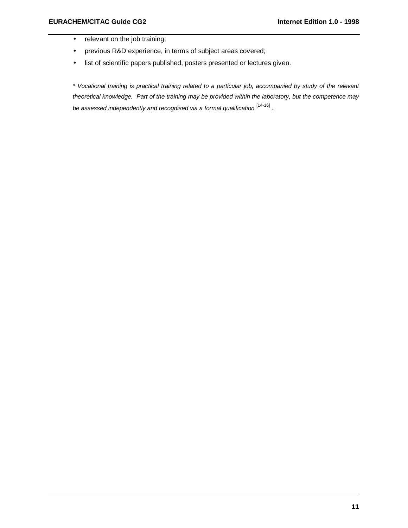- relevant on the job training;
- previous R&D experience, in terms of subject areas covered;
- list of scientific papers published, posters presented or lectures given.

*\* Vocational training is practical training related to a particular job, accompanied by study of the relevant theoretical knowledge. Part of the training may be provided within the laboratory, but the competence may be assessed independently and recognised via a formal qualification* [14-16] .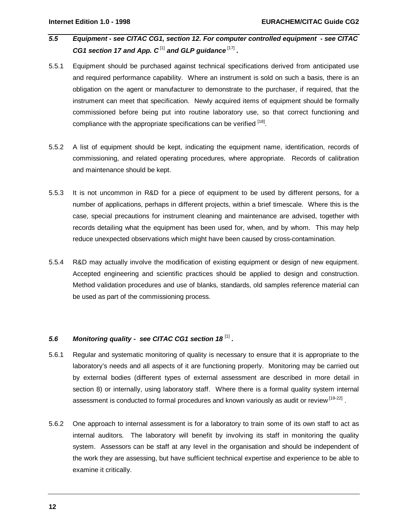# *5.5 Equipment - see CITAC CG1, section 12. For computer controlled equipment* **-** *see CITAC* CG1 section 17 and App. C<sup>[1]</sup> and GLP guidance<sup>[17]</sup>.

- 5.5.1 Equipment should be purchased against technical specifications derived from anticipated use and required performance capability. Where an instrument is sold on such a basis, there is an obligation on the agent or manufacturer to demonstrate to the purchaser, if required, that the instrument can meet that specification. Newly acquired items of equipment should be formally commissioned before being put into routine laboratory use, so that correct functioning and compliance with the appropriate specifications can be verified [18].
- 5.5.2 A list of equipment should be kept, indicating the equipment name, identification, records of commissioning, and related operating procedures, where appropriate. Records of calibration and maintenance should be kept.
- 5.5.3 It is not uncommon in R&D for a piece of equipment to be used by different persons, for a number of applications, perhaps in different projects, within a brief timescale. Where this is the case, special precautions for instrument cleaning and maintenance are advised, together with records detailing what the equipment has been used for, when, and by whom. This may help reduce unexpected observations which might have been caused by cross-contamination.
- 5.5.4 R&D may actually involve the modification of existing equipment or design of new equipment. Accepted engineering and scientific practices should be applied to design and construction. Method validation procedures and use of blanks, standards, old samples reference material can be used as part of the commissioning process.

# *5.6 Monitoring quality - see CITAC CG1 section 18* [1]  *.*

- 5.6.1 Regular and systematic monitoring of quality is necessary to ensure that it is appropriate to the laboratory's needs and all aspects of it are functioning properly. Monitoring may be carried out by external bodies (different types of external assessment are described in more detail in section 8) or internally, using laboratory staff. Where there is a formal quality system internal assessment is conducted to formal procedures and known variously as audit or review <sup>[19-22]</sup> .
- 5.6.2 One approach to internal assessment is for a laboratory to train some of its own staff to act as internal auditors. The laboratory will benefit by involving its staff in monitoring the quality system. Assessors can be staff at any Ievel in the organisation and should be independent of the work they are assessing, but have sufficient technical expertise and experience to be able to examine it critically.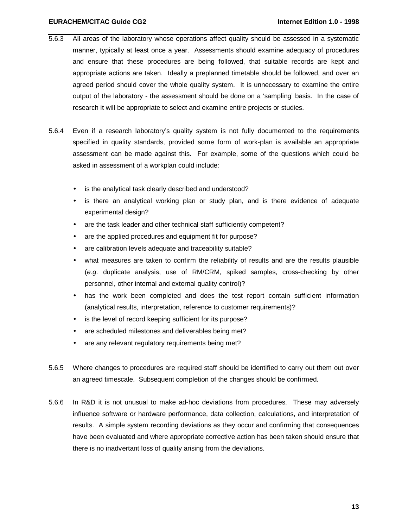- 5.6.3 All areas of the laboratory whose operations affect quality should be assessed in a systematic manner, typically at least once a year. Assessments should examine adequacy of procedures and ensure that these procedures are being followed, that suitable records are kept and appropriate actions are taken. Ideally a preplanned timetable should be followed, and over an agreed period should cover the whole quality system. It is unnecessary to examine the entire output of the laboratory - the assessment should be done on a 'sampling' basis. In the case of research it will be appropriate to select and examine entire projects or studies.
- 5.6.4 Even if a research laboratory's quality system is not fully documented to the requirements specified in quality standards, provided some form of work-plan is available an appropriate assessment can be made against this. For example, some of the questions which could be asked in assessment of a workplan could include:
	- is the analytical task clearly described and understood?
	- is there an analytical working plan or study plan, and is there evidence of adequate experimental design?
	- are the task leader and other technical staff sufficiently competent?
	- are the applied procedures and equipment fit for purpose?
	- are calibration levels adequate and traceability suitable?
	- what measures are taken to confirm the reliability of results and are the results plausible (*e.g*. duplicate analysis, use of RM/CRM, spiked samples, cross-checking by other personnel, other internal and external quality control)?
	- has the work been completed and does the test report contain sufficient information (analytical results, interpretation, reference to customer requirements)?
	- is the level of record keeping sufficient for its purpose?
	- are scheduled milestones and deliverables being met?
	- are any relevant regulatory requirements being met?
- 5.6.5 Where changes to procedures are required staff should be identified to carry out them out over an agreed timescale. Subsequent completion of the changes should be confirmed.
- 5.6.6 In R&D it is not unusual to make ad-hoc deviations from procedures. These may adversely influence software or hardware performance, data collection, calculations, and interpretation of results. A simple system recording deviations as they occur and confirming that consequences have been evaluated and where appropriate corrective action has been taken should ensure that there is no inadvertant loss of quality arising from the deviations.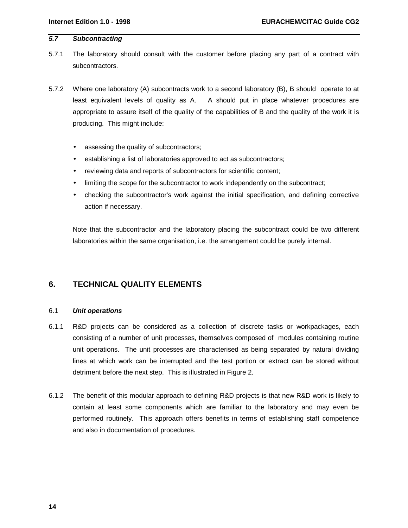#### *5.7 Subcontracting*

- 5.7.1 The laboratory should consult with the customer before placing any part of a contract with subcontractors.
- 5.7.2 Where one laboratory (A) subcontracts work to a second laboratory (B), B should operate to at least equivalent levels of quality as A. A should put in place whatever procedures are appropriate to assure itself of the quality of the capabilities of B and the quality of the work it is producing. This might include:
	- assessing the quality of subcontractors;
	- establishing a list of laboratories approved to act as subcontractors;
	- reviewing data and reports of subcontractors for scientific content;
	- limiting the scope for the subcontractor to work independently on the subcontract;
	- checking the subcontractor's work against the initial specification, and defining corrective action if necessary.

Note that the subcontractor and the laboratory placing the subcontract could be two different laboratories within the same organisation, i.e. the arrangement could be purely internal.

# **6. TECHNICAL QUALITY ELEMENTS**

#### 6.1 *Unit operations*

- 6.1.1 R&D projects can be considered as a collection of discrete tasks or workpackages, each consisting of a number of unit processes, themselves composed of modules containing routine unit operations. The unit processes are characterised as being separated by natural dividing lines at which work can be interrupted and the test portion or extract can be stored without detriment before the next step. This is illustrated in Figure 2.
- 6.1.2 The benefit of this modular approach to defining R&D projects is that new R&D work is likely to contain at least some components which are familiar to the laboratory and may even be performed routinely. This approach offers benefits in terms of establishing staff competence and also in documentation of procedures.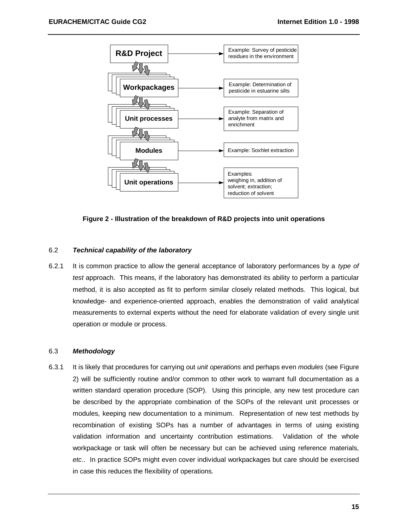

**Figure 2 - Illustration of the breakdown of R&D projects into unit operations**

# 6.2 *Technical capability of the laboratory*

6.2.1 It is common practice to allow the general acceptance of laboratory performances by a *type of test* approach. This means, if the laboratory has demonstrated its ability to perform a particular method, it is also accepted as fit to perform similar closely related methods. This logical, but knowledge- and experience-oriented approach, enables the demonstration of valid analytical measurements to external experts without the need for elaborate validation of every single unit operation or module or process.

# 6.3 *Methodology*

6.3.1 It is likely that procedures for carrying out *unit operations* and perhaps even *modules* (see Figure 2) will be sufficiently routine and/or common to other work to warrant full documentation as a written standard operation procedure (SOP). Using this principle, any new test procedure can be described by the appropriate combination of the SOPs of the relevant unit processes or modules, keeping new documentation to a minimum. Representation of new test methods by recombination of existing SOPs has a number of advantages in terms of using existing validation information and uncertainty contribution estimations. Validation of the whole workpackage or task will often be necessary but can be achieved using reference materials, *etc*.. In practice SOPs might even cover individual workpackages but care should be exercised in case this reduces the flexibility of operations.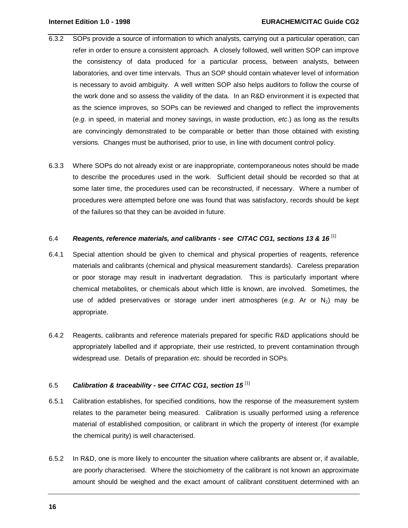- 6.3.2 SOPs provide a source of information to which analysts, carrying out a particular operation, can refer in order to ensure a consistent approach. A closely followed, well written SOP can improve the consistency of data produced for a particular process, between analysts, between laboratories, and over time intervals. Thus an SOP should contain whatever level of information is necessary to avoid ambiguity. A well written SOP also helps auditors to follow the course of the work done and so assess the validity of the data. In an R&D environment it is expected that as the science improves, so SOPs can be reviewed and changed to reflect the improvements (*e.g*. in speed, in material and money savings, in waste production, *etc*.) as long as the results are convincingly demonstrated to be comparable or better than those obtained with existing versions. Changes must be authorised, prior to use, in line with document control policy.
- 6.3.3 Where SOPs do not already exist or are inappropriate, contemporaneous notes should be made to describe the procedures used in the work. Sufficient detail should be recorded so that at some later time, the procedures used can be reconstructed, if necessary. Where a number of procedures were attempted before one was found that was satisfactory, records should be kept of the failures so that they can be avoided in future.

# 6.4 *Reagents, reference materials, and calibrants - see CITAC CG1, sections 13 & 16* [1]

- 6.4.1 Special attention should be given to chemical and physical properties of reagents, reference materials and calibrants (chemical and physical measurement standards). Careless preparation or poor storage may result in inadvertant degradation. This is particularly important where chemical metabolites, or chemicals about which little is known, are involved. Sometimes, the use of added preservatives or storage under inert atmospheres (*e.g.* Ar or  $N_2$ ) may be appropriate.
- 6.4.2 Reagents, calibrants and reference materials prepared for specific R&D applications should be appropriately labelled and if appropriate, their use restricted, to prevent contamination through widespread use. Details of preparation *etc.* should be recorded in SOPs.

# 6.5 *Calibration & traceability - see CITAC CG1, section 15* [1]

- 6.5.1 Calibration establishes, for specified conditions, how the response of the measurement system relates to the parameter being measured. Calibration is usually performed using a reference material of established composition, or calibrant in which the property of interest (for example the chemical purity) is well characterised.
- 6.5.2 In R&D, one is more likely to encounter the situation where calibrants are absent or, if available, are poorly characterised. Where the stoichiometry of the calibrant is not known an approximate amount should be weighed and the exact amount of calibrant constituent determined with an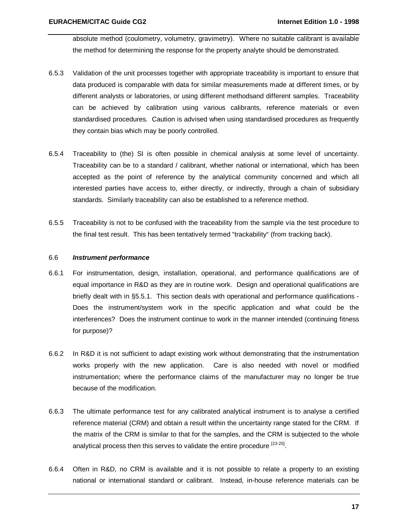absolute method (coulometry, volumetry, gravimetry). Where no suitable calibrant is available the method for determining the response for the property analyte should be demonstrated.

- 6.5.3 Validation of the unit processes together with appropriate traceability is important to ensure that data produced is comparable with data for similar measurements made at different times, or by different analysts or laboratories, or using different methodsand different samples. Traceability can be achieved by calibration using various calibrants, reference materials or even standardised procedures. Caution is advised when using standardised procedures as frequently they contain bias which may be poorly controlled.
- 6.5.4 Traceability to (the) SI is often possible in chemical analysis at some level of uncertainty. Traceability can be to a standard / calibrant, whether national or international, which has been accepted as the point of reference by the analytical community concerned and which all interested parties have access to, either directly, or indirectly, through a chain of subsidiary standards. Similarly traceability can also be established to a reference method.
- 6.5.5 Traceability is not to be confused with the traceability from the sample via the test procedure to the final test result. This has been tentatively termed "trackability" (from tracking back).

#### 6.6 *Instrument performance*

- 6.6.1 For instrumentation, design, installation, operational, and performance qualifications are of equal importance in R&D as they are in routine work. Design and operational qualifications are briefly dealt with in §5.5.1. This section deals with operational and performance qualifications - Does the instrument/system work in the specific application and what could be the interferences? Does the instrument continue to work in the manner intended (continuing fitness for purpose)?
- 6.6.2 In R&D it is not sufficient to adapt existing work without demonstrating that the instrumentation works properly with the new application. Care is also needed with novel or modified instrumentation; where the performance claims of the manufacturer may no longer be true because of the modification.
- 6.6.3 The ultimate performance test for any calibrated analytical instrument is to analyse a certified reference material (CRM) and obtain a result within the uncertainty range stated for the CRM. If the matrix of the CRM is similar to that for the samples, and the CRM is subjected to the whole analytical process then this serves to validate the entire procedure <sup>[23-25]</sup>.
- 6.6.4 Often in R&D, no CRM is available and it is not possible to relate a property to an existing national or international standard or calibrant. Instead, in-house reference materials can be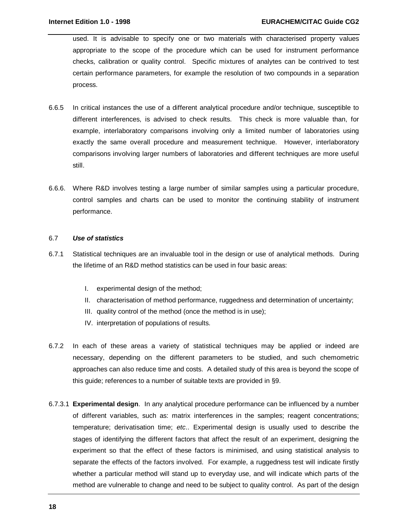used. It is advisable to specify one or two materials with characterised property values appropriate to the scope of the procedure which can be used for instrument performance checks, calibration or quality control. Specific mixtures of analytes can be contrived to test certain performance parameters, for example the resolution of two compounds in a separation process.

- 6.6.5 In critical instances the use of a different analytical procedure and/or technique, susceptible to different interferences, is advised to check results. This check is more valuable than, for example, interlaboratory comparisons involving only a limited number of laboratories using exactly the same overall procedure and measurement technique. However, interlaboratory comparisons involving larger numbers of laboratories and different techniques are more useful still.
- 6.6.6. Where R&D involves testing a large number of similar samples using a particular procedure, control samples and charts can be used to monitor the continuing stability of instrument performance.

## 6.7 *Use of statistics*

- 6.7.1 Statistical techniques are an invaluable tool in the design or use of analytical methods. During the lifetime of an R&D method statistics can be used in four basic areas:
	- I. experimental design of the method;
	- II. characterisation of method performance, ruggedness and determination of uncertainty;
	- III. quality control of the method (once the method is in use);
	- IV. interpretation of populations of results.
- 6.7.2 In each of these areas a variety of statistical techniques may be applied or indeed are necessary, depending on the different parameters to be studied, and such chemometric approaches can also reduce time and costs. A detailed study of this area is beyond the scope of this guide; references to a number of suitable texts are provided in §9.
- 6.7.3.1 **Experimental design**. In any analytical procedure performance can be influenced by a number of different variables, such as: matrix interferences in the samples; reagent concentrations; temperature; derivatisation time; *etc*.. Experimental design is usually used to describe the stages of identifying the different factors that affect the result of an experiment, designing the experiment so that the effect of these factors is minimised, and using statistical analysis to separate the effects of the factors involved. For example, a ruggedness test will indicate firstly whether a particular method will stand up to everyday use, and will indicate which parts of the method are vulnerable to change and need to be subject to quality control. As part of the design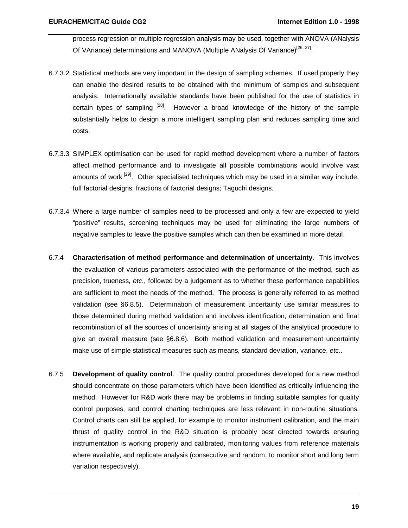process regression or multiple regression analysis may be used, together with ANOVA (ANalysis Of VAriance) determinations and MANOVA (Multiple ANalysis Of Variance)<sup>[26, 27]</sup>.

- 6.7.3.2 Statistical methods are very important in the design of sampling schemes. If used properly they can enable the desired results to be obtained with the minimum of samples and subsequent analysis. Internationally available standards have been published for the use of statistics in certain types of sampling  $^{[28]}$ . However a broad knowledge of the history of the sample substantially helps to design a more intelligent sampling plan and reduces sampling time and costs.
- 6.7.3.3 SIMPLEX optimisation can be used for rapid method development where a number of factors affect method performance and to investigate all possible combinations would involve vast amounts of work  $^{[29]}$ . Other specialised techniques which may be used in a similar way include: full factorial designs; fractions of factorial designs; Taguchi designs.
- 6.7.3.4 Where a large number of samples need to be processed and only a few are expected to yield "positive" results, screening techniques may be used for eliminating the large numbers of negative samples to leave the positive samples which can then be examined in more detail.
- 6.7.4 **Characterisation of method performance and determination of uncertainty**. This involves the evaluation of various parameters associated with the performance of the method, such as precision, trueness, *etc*., followed by a judgement as to whether these performance capabilities are sufficient to meet the needs of the method. The process is generally referred to as method validation (see §6.8.5). Determination of measurement uncertainty use similar measures to those determined during method validation and involves identification, determination and final recombination of all the sources of uncertainty arising at all stages of the analytical procedure to give an overall measure (see §6.8.6). Both method validation and measurement uncertainty make use of simple statistical measures such as means, standard deviation, variance, *etc*..
- 6.7.5 **Development of quality control**. The quality control procedures developed for a new method should concentrate on those parameters which have been identified as critically influencing the method. However for R&D work there may be problems in finding suitable samples for quality control purposes, and control charting techniques are less relevant in non-routine situations. Control charts can still be applied, for example to monitor instrument calibration, and the main thrust of quality control in the R&D situation is probably best directed towards ensuring instrumentation is working properly and calibrated, monitoring values from reference materials where available, and replicate analysis (consecutive and random, to monitor short and long term variation respectively).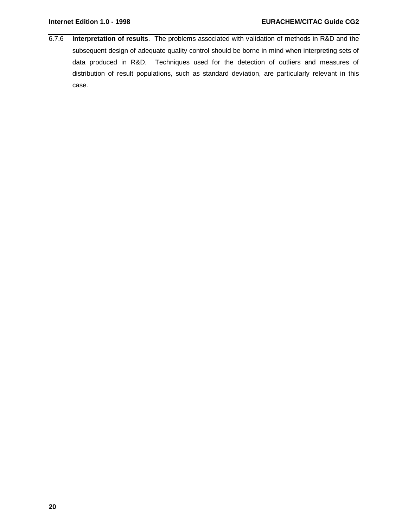6.7.6 **Interpretation of results**. The problems associated with validation of methods in R&D and the subsequent design of adequate quality control should be borne in mind when interpreting sets of data produced in R&D. Techniques used for the detection of outliers and measures of distribution of result populations, such as standard deviation, are particularly relevant in this case.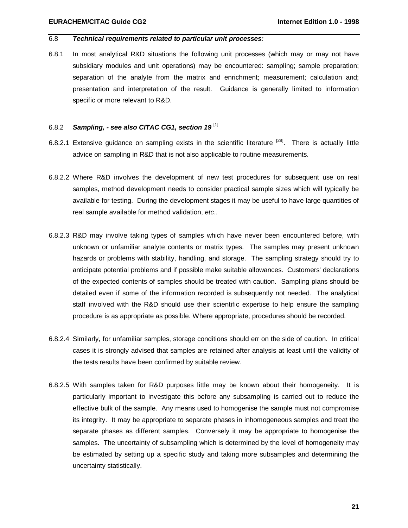#### **EURACHEM/CITAC Guide CG2 Internet Edition 1.0 - 1998**

#### 6.8 *Technical requirements related to particular unit processes:*

6.8.1 In most analytical R&D situations the following unit processes (which may or may not have subsidiary modules and unit operations) may be encountered: sampling; sample preparation; separation of the analyte from the matrix and enrichment; measurement; calculation and; presentation and interpretation of the result. Guidance is generally limited to information specific or more relevant to R&D.

## 6.8.2 *Sampling, - see also CITAC CG1, section 19* [1]

- 6.8.2.1 Extensive guidance on sampling exists in the scientific literature <sup>[28]</sup>. There is actually little advice on sampling in R&D that is not also applicable to routine measurements.
- 6.8.2.2 Where R&D involves the development of new test procedures for subsequent use on real samples, method development needs to consider practical sample sizes which will typically be available for testing. During the development stages it may be useful to have large quantities of real sample available for method validation, *etc*..
- 6.8.2.3 R&D may involve taking types of samples which have never been encountered before, with unknown or unfamiliar analyte contents or matrix types. The samples may present unknown hazards or problems with stability, handling, and storage. The sampling strategy should try to anticipate potential problems and if possible make suitable allowances. Customers' declarations of the expected contents of samples should be treated with caution. Sampling plans should be detailed even if some of the information recorded is subsequently not needed. The analytical staff involved with the R&D should use their scientific expertise to help ensure the sampling procedure is as appropriate as possible. Where appropriate, procedures should be recorded.
- 6.8.2.4 Similarly, for unfamiliar samples, storage conditions should err on the side of caution. In critical cases it is strongly advised that samples are retained after analysis at least until the validity of the tests results have been confirmed by suitable review.
- 6.8.2.5 With samples taken for R&D purposes little may be known about their homogeneity. It is particularly important to investigate this before any subsampling is carried out to reduce the effective bulk of the sample. Any means used to homogenise the sample must not compromise its integrity. It may be appropriate to separate phases in inhomogeneous samples and treat the separate phases as different samples. Conversely it may be appropriate to homogenise the samples. The uncertainty of subsampling which is determined by the level of homogeneity may be estimated by setting up a specific study and taking more subsamples and determining the uncertainty statistically.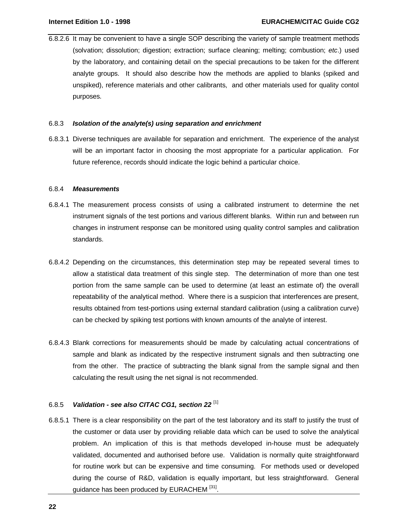6.8.2.6 It may be convenient to have a single SOP describing the variety of sample treatment methods (solvation; dissolution; digestion; extraction; surface cleaning; melting; combustion; *etc*.) used by the laboratory, and containing detail on the special precautions to be taken for the different analyte groups. It should also describe how the methods are applied to blanks (spiked and unspiked), reference materials and other calibrants, and other materials used for quality contol purposes.

#### 6.8.3 *Isolation of the analyte(s) using separation and enrichment*

6.8.3.1 Diverse techniques are available for separation and enrichment. The experience of the analyst will be an important factor in choosing the most appropriate for a particular application. For future reference, records should indicate the logic behind a particular choice.

#### 6.8.4 *Measurements*

- 6.8.4.1 The measurement process consists of using a calibrated instrument to determine the net instrument signals of the test portions and various different blanks. Within run and between run changes in instrument response can be monitored using quality control samples and calibration standards.
- 6.8.4.2 Depending on the circumstances, this determination step may be repeated several times to allow a statistical data treatment of this single step. The determination of more than one test portion from the same sample can be used to determine (at least an estimate of) the overall repeatability of the analytical method. Where there is a suspicion that interferences are present, results obtained from test-portions using external standard calibration (using a calibration curve) can be checked by spiking test portions with known amounts of the analyte of interest.
- 6.8.4.3 Blank corrections for measurements should be made by calculating actual concentrations of sample and blank as indicated by the respective instrument signals and then subtracting one from the other. The practice of subtracting the blank signal from the sample signal and then calculating the result using the net signal is not recommended.

# 6.8.5 *Validation - see also CITAC CG1, section 22* [1]

6.8.5.1 There is a clear responsibility on the part of the test laboratory and its staff to justify the trust of the customer or data user by providing reliable data which can be used to solve the analytical problem. An implication of this is that methods developed in-house must be adequately validated, documented and authorised before use. Validation is normally quite straightforward for routine work but can be expensive and time consuming. For methods used or developed during the course of R&D, validation is equally important, but less straightforward. General guidance has been produced by EURACHEM<sup>[31]</sup>.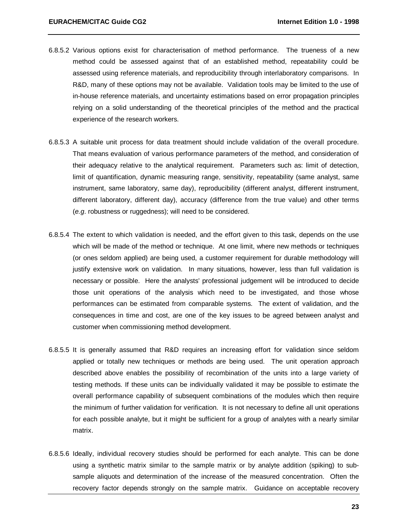- 6.8.5.2 Various options exist for characterisation of method performance. The trueness of a new method could be assessed against that of an established method, repeatability could be assessed using reference materials, and reproducibility through interlaboratory comparisons. In R&D, many of these options may not be available. Validation tools may be limited to the use of in-house reference materials, and uncertainty estimations based on error propagation principles relying on a solid understanding of the theoretical principles of the method and the practical experience of the research workers.
- 6.8.5.3 A suitable unit process for data treatment should include validation of the overall procedure. That means evaluation of various performance parameters of the method, and consideration of their adequacy relative to the analytical requirement. Parameters such as: limit of detection, limit of quantification, dynamic measuring range, sensitivity, repeatability (same analyst, same instrument, same laboratory, same day), reproducibility (different analyst, different instrument, different laboratory, different day), accuracy (difference from the true value) and other terms (*e.g*. robustness or ruggedness); will need to be considered.
- 6.8.5.4 The extent to which validation is needed, and the effort given to this task, depends on the use which will be made of the method or technique. At one limit, where new methods or techniques (or ones seldom applied) are being used, a customer requirement for durable methodology will justify extensive work on validation. In many situations, however, less than full validation is necessary or possible. Here the analysts' professional judgement will be introduced to decide those unit operations of the analysis which need to be investigated, and those whose performances can be estimated from comparable systems. The extent of validation, and the consequences in time and cost, are one of the key issues to be agreed between analyst and customer when commissioning method development.
- 6.8.5.5 It is generally assumed that R&D requires an increasing effort for validation since seldom applied or totally new techniques or methods are being used. The unit operation approach described above enables the possibility of recombination of the units into a large variety of testing methods. If these units can be individually validated it may be possible to estimate the overall performance capability of subsequent combinations of the modules which then require the minimum of further validation for verification. It is not necessary to define all unit operations for each possible analyte, but it might be sufficient for a group of analytes with a nearly similar matrix.
- 6.8.5.6 Ideally, individual recovery studies should be performed for each analyte. This can be done using a synthetic matrix similar to the sample matrix or by analyte addition (spiking) to subsample aliquots and determination of the increase of the measured concentration. Often the recovery factor depends strongly on the sample matrix. Guidance on acceptable recovery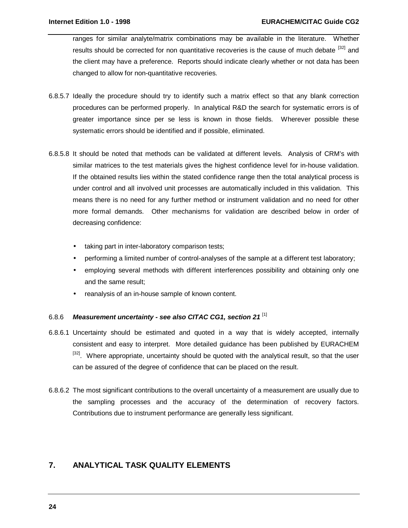ranges for similar analyte/matrix combinations may be available in the literature. Whether results should be corrected for non quantitative recoveries is the cause of much debate  $[32]$  and the client may have a preference. Reports should indicate clearly whether or not data has been changed to allow for non-quantitative recoveries.

- 6.8.5.7 Ideally the procedure should try to identify such a matrix effect so that any blank correction procedures can be performed properly. In analytical R&D the search for systematic errors is of greater importance since per se less is known in those fields. Wherever possible these systematic errors should be identified and if possible, eliminated.
- 6.8.5.8 It should be noted that methods can be validated at different levels. Analysis of CRM's with similar matrices to the test materials gives the highest confidence level for in-house validation. If the obtained results lies within the stated confidence range then the total analytical process is under control and all involved unit processes are automatically included in this validation. This means there is no need for any further method or instrument validation and no need for other more formal demands. Other mechanisms for validation are described below in order of decreasing confidence:
	- taking part in inter-laboratory comparison tests;
	- performing a limited number of control-analyses of the sample at a different test laboratory;
	- employing several methods with different interferences possibility and obtaining only one and the same result;
	- reanalysis of an in-house sample of known content.

# 6.8.6 *Measurement uncertainty - see also CITAC CG1, section 21* [1]

- 6.8.6.1 Uncertainty should be estimated and quoted in a way that is widely accepted, internally consistent and easy to interpret. More detailed guidance has been published by EURACHEM [32]. Where appropriate, uncertainty should be quoted with the analytical result, so that the user can be assured of the degree of confidence that can be placed on the result.
- 6.8.6.2 The most significant contributions to the overall uncertainty of a measurement are usually due to the sampling processes and the accuracy of the determination of recovery factors. Contributions due to instrument performance are generally less significant.

# **7. ANALYTICAL TASK QUALITY ELEMENTS**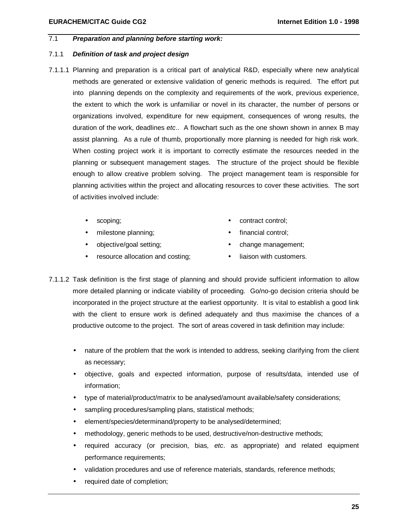# 7.1 *Preparation and planning before starting work:*

#### 7.1.1 *Definition of task and project design*

- 7.1.1.1 Planning and preparation is a critical part of analytical R&D, especially where new analytical methods are generated or extensive validation of generic methods is required. The effort put into planning depends on the complexity and requirements of the work, previous experience, the extent to which the work is unfamiliar or novel in its character, the number of persons or organizations involved, expenditure for new equipment, consequences of wrong results, the duration of the work, deadlines *etc*.. A flowchart such as the one shown shown in annex B may assist planning. As a rule of thumb, proportionally more planning is needed for high risk work. When costing project work it is important to correctly estimate the resources needed in the planning or subsequent management stages. The structure of the project should be flexible enough to allow creative problem solving. The project management team is responsible for planning activities within the project and allocating resources to cover these activities. The sort of activities involved include:
	- scoping;
	- milestone planning;
	- objective/goal setting;
- contract control;
- financial control;
- change management;
- resource allocation and costing;
- liaison with customers.
- 7.1.1.2 Task definition is the first stage of planning and should provide sufficient information to allow more detailed planning or indicate viability of proceeding. Go/no-go decision criteria should be incorporated in the project structure at the earliest opportunity. It is vital to establish a good link with the client to ensure work is defined adequately and thus maximise the chances of a productive outcome to the project. The sort of areas covered in task definition may include:
	- nature of the problem that the work is intended to address, seeking clarifying from the client as necessary;
	- objective, goals and expected information, purpose of results/data, intended use of information;
	- type of material/product/matrix to be analysed/amount available/safety considerations;
	- sampling procedures/sampling plans, statistical methods;
	- element/species/determinand/property to be analysed/determined;
	- methodology, generic methods to be used, destructive/non-destructive methods;
	- required accuracy (or precision, bias, *etc*. as appropriate) and related equipment performance requirements;
	- validation procedures and use of reference materials, standards, reference methods;
	- required date of completion;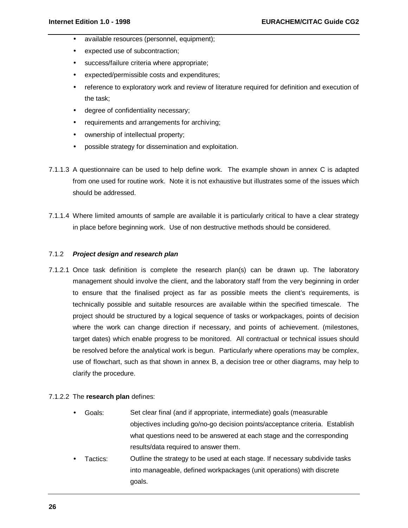- available resources (personnel, equipment);
- expected use of subcontraction;
- success/failure criteria where appropriate;
- expected/permissible costs and expenditures;
- reference to exploratory work and review of literature required for definition and execution of the task;
- degree of confidentiality necessary;
- requirements and arrangements for archiving;
- ownership of intellectual property;
- possible strategy for dissemination and exploitation.
- 7.1.1.3 A questionnaire can be used to help define work. The example shown in annex C is adapted from one used for routine work. Note it is not exhaustive but illustrates some of the issues which should be addressed.
- 7.1.1.4 Where limited amounts of sample are available it is particularly critical to have a clear strategy in place before beginning work. Use of non destructive methods should be considered.

#### 7.1.2 *Project design and research plan*

7.1.2.1 Once task definition is complete the research plan(s) can be drawn up. The laboratory management should involve the client, and the laboratory staff from the very beginning in order to ensure that the finalised project as far as possible meets the client's requirements, is technically possible and suitable resources are available within the specified timescale. The project should be structured by a logical sequence of tasks or workpackages, points of decision where the work can change direction if necessary, and points of achievement. (milestones, target dates) which enable progress to be monitored. All contractual or technical issues should be resolved before the analytical work is begun. Particularly where operations may be complex, use of flowchart, such as that shown in annex B, a decision tree or other diagrams, may help to clarify the procedure.

#### 7.1.2.2 The **research plan** defines:

- Goals: Set clear final (and if appropriate, intermediate) goals (measurable objectives including go/no-go decision points/acceptance criteria. Establish what questions need to be answered at each stage and the corresponding results/data required to answer them.
- Tactics: Outline the strategy to be used at each stage. If necessary subdivide tasks into manageable, defined workpackages (unit operations) with discrete goals.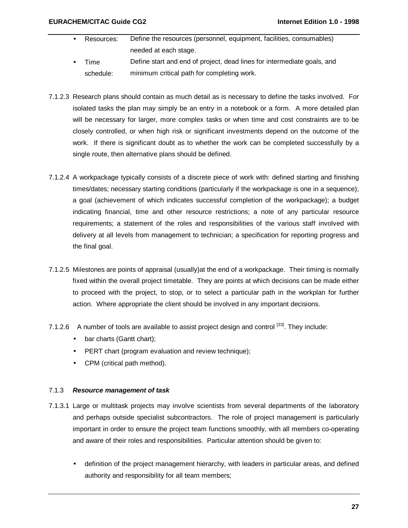- Resources: Define the resources (personnel, equipment, facilities, consumables) needed at each stage.
- Time schedule: Define start and end of project, dead lines for intermediate goals, and minimum critical path for completing work.
- 7.1.2.3 Research plans should contain as much detail as is necessary to define the tasks involved. For isolated tasks the plan may simply be an entry in a notebook or a form. A more detailed plan will be necessary for larger, more complex tasks or when time and cost constraints are to be closely controlled, or when high risk or significant investments depend on the outcome of the work. If there is significant doubt as to whether the work can be completed successfully by a single route, then alternative plans should be defined.
- 7.1.2.4 A workpackage typically consists of a discrete piece of work with: defined starting and finishing times/dates; necessary starting conditions (particularly if the workpackage is one in a sequence); a goal (achievement of which indicates successful completion of the workpackage); a budget indicating financial, time and other resource restrictions; a note of any particular resource requirements; a statement of the roles and responsibilities of the various staff involved with delivery at all levels from management to technician; a specification for reporting progress and the final goal.
- 7.1.2.5 Milestones are points of appraisal (usually)at the end of a workpackage. Their timing is normally fixed within the overall project timetable. They are points at which decisions can be made either to proceed with the project, to stop, or to select a particular path in the workplan for further action. Where appropriate the client should be involved in any important decisions.
- 7.1.2.6 A number of tools are available to assist project design and control  $^{[33]}$ . They include:
	- bar charts (Gantt chart);
	- PERT chart (program evaluation and review technique);
	- CPM (critical path method).

# 7.1.3 *Resource management of task*

- 7.1.3.1 Large or multitask projects may involve scientists from several departments of the laboratory and perhaps outside specialist subcontractors. The role of project management is particularly important in order to ensure the project team functions smoothly, with all members co-operating and aware of their roles and responsibilities. Particular attention should be given to:
	- definition of the project management hierarchy, with leaders in particular areas, and defined authority and responsibility for all team members;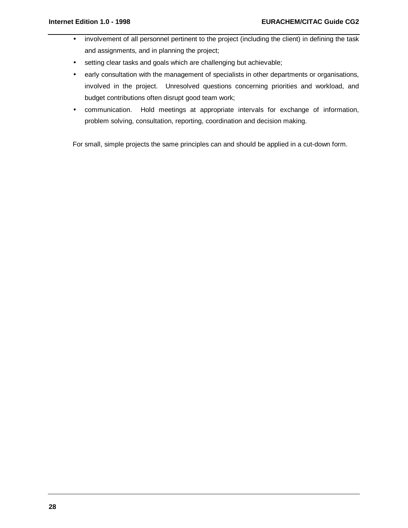- involvement of all personnel pertinent to the project (including the client) in defining the task and assignments, and in planning the project;
- setting clear tasks and goals which are challenging but achievable;
- early consultation with the management of specialists in other departments or organisations, involved in the project. Unresolved questions concerning priorities and workload, and budget contributions often disrupt good team work;
- communication. Hold meetings at appropriate intervals for exchange of information, problem solving, consultation, reporting, coordination and decision making.

For small, simple projects the same principles can and should be applied in a cut-down form.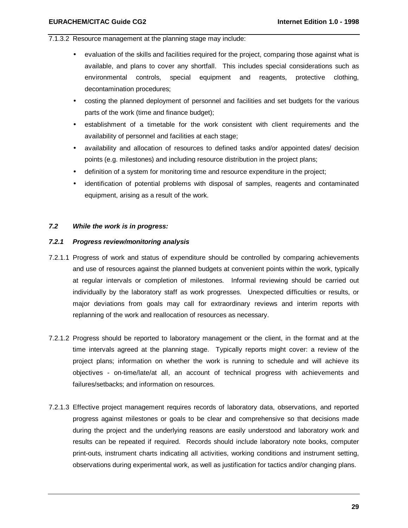7.1.3.2 Resource management at the planning stage may include:

- evaluation of the skills and facilities required for the project, comparing those against what is available, and plans to cover any shortfall. This includes special considerations such as environmental controls, special equipment and reagents, protective clothing, decontamination procedures;
- costing the planned deployment of personnel and facilities and set budgets for the various parts of the work (time and finance budget);
- establishment of a timetable for the work consistent with client requirements and the availability of personnel and facilities at each stage;
- availability and allocation of resources to defined tasks and/or appointed dates/ decision points (e.g. milestones) and including resource distribution in the project plans;
- definition of a system for monitoring time and resource expenditure in the project;
- identification of potential problems with disposal of samples, reagents and contaminated equipment, arising as a result of the work.

## *7.2 While the work is in progress:*

#### *7.2.1 Progress review/monitoring analysis*

- 7.2.1.1 Progress of work and status of expenditure should be controlled by comparing achievements and use of resources against the planned budgets at convenient points within the work, typically at regular intervals or completion of milestones. Informal reviewing should be carried out individually by the laboratory staff as work progresses. Unexpected difficulties or results, or major deviations from goals may call for extraordinary reviews and interim reports with replanning of the work and reallocation of resources as necessary.
- 7.2.1.2 Progress should be reported to laboratory management or the client, in the format and at the time intervals agreed at the planning stage. Typically reports might cover: a review of the project plans; information on whether the work is running to schedule and will achieve its objectives - on-time/late/at all, an account of technical progress with achievements and failures/setbacks; and information on resources.
- 7.2.1.3 Effective project management requires records of laboratory data, observations, and reported progress against milestones or goals to be clear and comprehensive so that decisions made during the project and the underlying reasons are easily understood and laboratory work and results can be repeated if required. Records should include laboratory note books, computer print-outs, instrument charts indicating all activities, working conditions and instrument setting, observations during experimental work, as well as justification for tactics and/or changing plans.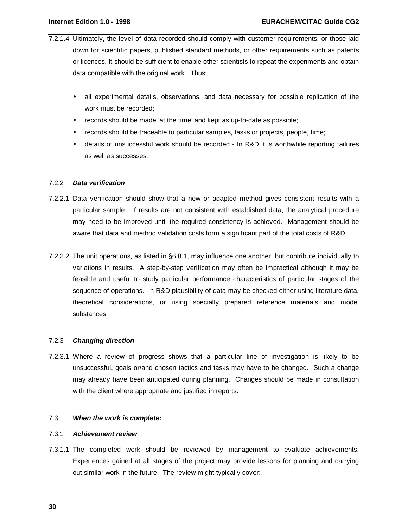- 7.2.1.4 Ultimately, the level of data recorded should comply with customer requirements, or those laid down for scientific papers, published standard methods, or other requirements such as patents or licences. It should be sufficient to enable other scientists to repeat the experiments and obtain data compatible with the original work. Thus:
	- all experimental details, observations, and data necessary for possible replication of the work must be recorded;
	- records should be made 'at the time' and kept as up-to-date as possible;
	- records should be traceable to particular samples, tasks or projects, people, time;
	- details of unsuccessful work should be recorded In R&D it is worthwhile reporting failures as well as successes.

## 7.2.2 *Data verification*

- 7.2.2.1 Data verification should show that a new or adapted method gives consistent results with a particular sample. If results are not consistent with established data, the analytical procedure may need to be improved until the required consistency is achieved. Management should be aware that data and method validation costs form a significant part of the total costs of R&D.
- 7.2.2.2 The unit operations, as listed in §6.8.1, may influence one another, but contribute individually to variations in results. A step-by-step verification may often be impractical although it may be feasible and useful to study particular performance characteristics of particular stages of the sequence of operations. In R&D plausibility of data may be checked either using literature data, theoretical considerations, or using specially prepared reference materials and model substances.

#### 7.2.3 *Changing direction*

7.2.3.1 Where a review of progress shows that a particular line of investigation is likely to be unsuccessful, goals or/and chosen tactics and tasks may have to be changed. Such a change may already have been anticipated during planning. Changes should be made in consultation with the client where appropriate and justified in reports.

## 7.3 *When the work is complete:*

#### 7.3.1 *Achievement review*

7.3.1.1 The completed work should be reviewed by management to evaluate achievements. Experiences gained at all stages of the project may provide lessons for planning and carrying out similar work in the future. The review might typically cover: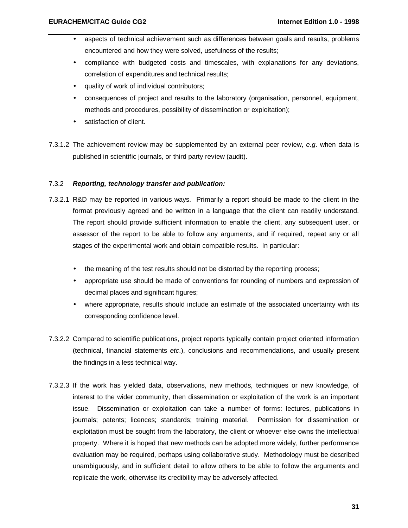- aspects of technical achievement such as differences between goals and results, problems encountered and how they were solved, usefulness of the results;
- compliance with budgeted costs and timescales, with explanations for any deviations, correlation of expenditures and technical results;
- quality of work of individual contributors;
- consequences of project and results to the laboratory (organisation, personnel, equipment, methods and procedures, possibility of dissemination or exploitation);
- satisfaction of client.
- 7.3.1.2 The achievement review may be supplemented by an external peer review, *e.g*. when data is published in scientific journals, or third party review (audit).

# 7.3.2 *Reporting, technology transfer and publication:*

- 7.3.2.1 R&D may be reported in various ways. Primarily a report should be made to the client in the format previously agreed and be written in a language that the client can readily understand. The report should provide sufficient information to enable the client, any subsequent user, or assessor of the report to be able to follow any arguments, and if required, repeat any or all stages of the experimental work and obtain compatible results. In particular:
	- the meaning of the test results should not be distorted by the reporting process;
	- appropriate use should be made of conventions for rounding of numbers and expression of decimal places and significant figures;
	- where appropriate, results should include an estimate of the associated uncertainty with its corresponding confidence level.
- 7.3.2.2 Compared to scientific publications, project reports typically contain project oriented information (technical, financial statements *etc*.), conclusions and recommendations, and usually present the findings in a less technical way.
- 7.3.2.3 If the work has yielded data, observations, new methods, techniques or new knowledge, of interest to the wider community, then dissemination or exploitation of the work is an important issue. Dissemination or exploitation can take a number of forms: lectures, publications in journals; patents; licences; standards; training material. Permission for dissemination or exploitation must be sought from the laboratory, the client or whoever else owns the intellectual property. Where it is hoped that new methods can be adopted more widely, further performance evaluation may be required, perhaps using collaborative study. Methodology must be described unambiguously, and in sufficient detail to allow others to be able to follow the arguments and replicate the work, otherwise its credibility may be adversely affected.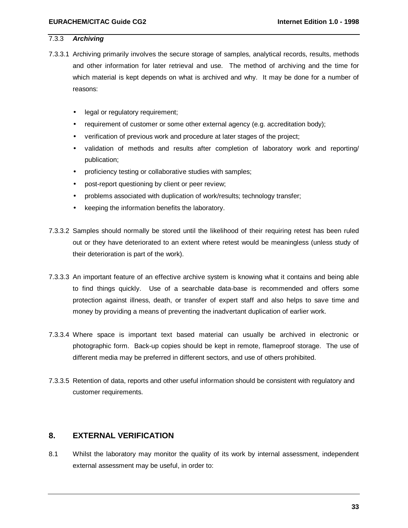# 7.3.3 *Archiving*

- 7.3.3.1 Archiving primarily involves the secure storage of samples, analytical records, results, methods and other information for later retrieval and use. The method of archiving and the time for which material is kept depends on what is archived and why. It may be done for a number of reasons:
	- legal or regulatory requirement;
	- requirement of customer or some other external agency (e.g. accreditation body);
	- verification of previous work and procedure at later stages of the project;
	- validation of methods and results after completion of laboratory work and reporting/ publication;
	- proficiency testing or collaborative studies with samples;
	- post-report questioning by client or peer review;
	- problems associated with duplication of work/results; technology transfer;
	- keeping the information benefits the laboratory.
- 7.3.3.2 Samples should normally be stored until the likelihood of their requiring retest has been ruled out or they have deteriorated to an extent where retest would be meaningless (unless study of their deterioration is part of the work).
- 7.3.3.3 An important feature of an effective archive system is knowing what it contains and being able to find things quickly. Use of a searchable data-base is recommended and offers some protection against illness, death, or transfer of expert staff and also helps to save time and money by providing a means of preventing the inadvertant duplication of earlier work.
- 7.3.3.4 Where space is important text based material can usually be archived in electronic or photographic form. Back-up copies should be kept in remote, flameproof storage. The use of different media may be preferred in different sectors, and use of others prohibited.
- 7.3.3.5 Retention of data, reports and other useful information should be consistent with regulatory and customer requirements.

# **8. EXTERNAL VERIFICATION**

8.1 Whilst the laboratory may monitor the quality of its work by internal assessment, independent external assessment may be useful, in order to: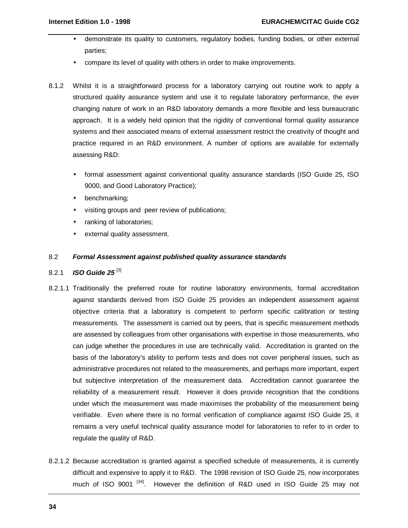- demonstrate its quality to customers, regulatory bodies, funding bodies, or other external parties;
- compare its level of quality with others in order to make improvements.
- 8.1.2 Whilst it is a straightforward process for a laboratory carrying out routine work to apply a structured quality assurance system and use it to regulate laboratory performance, the ever changing nature of work in an R&D laboratory demands a more flexible and less bureaucratic approach. It is a widely held opinion that the rigidity of conventional formal quality assurance systems and their associated means of external assessment restrict the creativity of thought and practice required in an R&D environment. A number of options are available for externally assessing R&D:
	- formal assessment against conventional quality assurance standards (ISO Guide 25, ISO 9000, and Good Laboratory Practice);
	- benchmarking;
	- visiting groups and peer review of publications;
	- ranking of laboratories;
	- external quality assessment.

## 8.2 *Formal Assessment against published quality assurance standards*

- 8.2.1 *ISO Guide 25* [3]
- 8.2.1.1 Traditionally the preferred route for routine laboratory environments, formal accreditation against standards derived from ISO Guide 25 provides an independent assessment against objective criteria that a laboratory is competent to perform specific calibration or testing measurements. The assessment is carried out by peers, that is specific measurement methods are assessed by colleagues from other organisations with expertise in those measurements, who can judge whether the procedures in use are technically valid. Accreditation is granted on the basis of the laboratory's ability to perform tests and does not cover peripheral issues, such as administrative procedures not related to the measurements, and perhaps more important, expert but subjective interpretation of the measurement data. Accreditation cannot guarantee the reliability of a measurement result. However it does provide recognition that the conditions under which the measurement was made maximises the probability of the measurement being verifiable. Even where there is no formal verification of compliance against ISO Guide 25, it remains a very useful technical quality assurance model for laboratories to refer to in order to regulate the quality of R&D.
- 8.2.1.2 Because accreditation is granted against a specified schedule of measurements, it is currently difficult and expensive to apply it to R&D. The 1998 revision of ISO Guide 25, now incorporates much of ISO 9001 <sup>[34]</sup>. However the definition of R&D used in ISO Guide 25 may not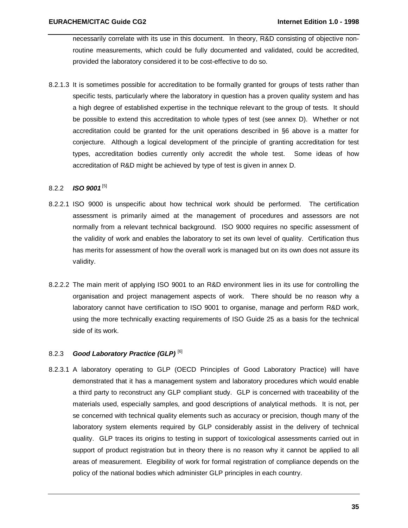necessarily correlate with its use in this document. In theory, R&D consisting of objective nonroutine measurements, which could be fully documented and validated, could be accredited, provided the laboratory considered it to be cost-effective to do so.

8.2.1.3 It is sometimes possible for accreditation to be formally granted for groups of tests rather than specific tests, particularly where the laboratory in question has a proven quality system and has a high degree of established expertise in the technique relevant to the group of tests. It should be possible to extend this accreditation to whole types of test (see annex D). Whether or not accreditation could be granted for the unit operations described in §6 above is a matter for conjecture. Although a logical development of the principle of granting accreditation for test types, accreditation bodies currently only accredit the whole test. Some ideas of how accreditation of R&D might be achieved by type of test is given in annex D.

## 8.2.2 *ISO 9001* [5]

- 8.2.2.1 ISO 9000 is unspecific about how technical work should be performed. The certification assessment is primarily aimed at the management of procedures and assessors are not normally from a relevant technical background. ISO 9000 requires no specific assessment of the validity of work and enables the laboratory to set its own level of quality. Certification thus has merits for assessment of how the overall work is managed but on its own does not assure its validity.
- 8.2.2.2 The main merit of applying ISO 9001 to an R&D environment lies in its use for controlling the organisation and project management aspects of work. There should be no reason why a laboratory cannot have certification to ISO 9001 to organise, manage and perform R&D work, using the more technically exacting requirements of ISO Guide 25 as a basis for the technical side of its work.

#### 8.2.3 *Good Laboratory Practice (GLP)* [6]

8.2.3.1 A laboratory operating to GLP (OECD Principles of Good Laboratory Practice) will have demonstrated that it has a management system and laboratory procedures which would enable a third party to reconstruct any GLP compliant study. GLP is concerned with traceability of the materials used, especially samples, and good descriptions of analytical methods. It is not, per se concerned with technical quality elements such as accuracy or precision, though many of the laboratory system elements required by GLP considerably assist in the delivery of technical quality. GLP traces its origins to testing in support of toxicological assessments carried out in support of product registration but in theory there is no reason why it cannot be applied to all areas of measurement. Elegibility of work for formal registration of compliance depends on the policy of the national bodies which administer GLP principles in each country.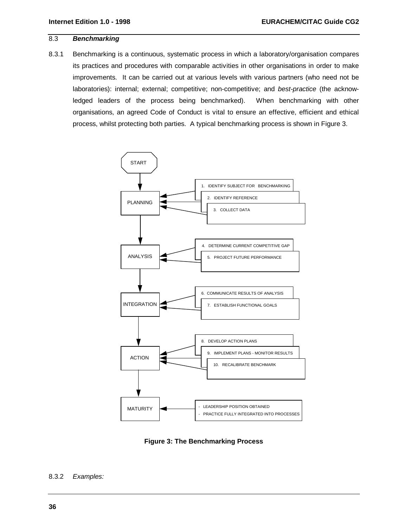#### 8.3 *Benchmarking*

8.3.1 Benchmarking is a continuous, systematic process in which a laboratory/organisation compares its practices and procedures with comparable activities in other organisations in order to make improvements. It can be carried out at various levels with various partners (who need not be laboratories): internal; external; competitive; non-competitive; and *best-practice* (the acknowledged leaders of the process being benchmarked). When benchmarking with other organisations, an agreed Code of Conduct is vital to ensure an effective, efficient and ethical process, whilst protecting both parties. A typical benchmarking process is shown in Figure 3.



**Figure 3: The Benchmarking Process**

## 8.3.2 *Examples:*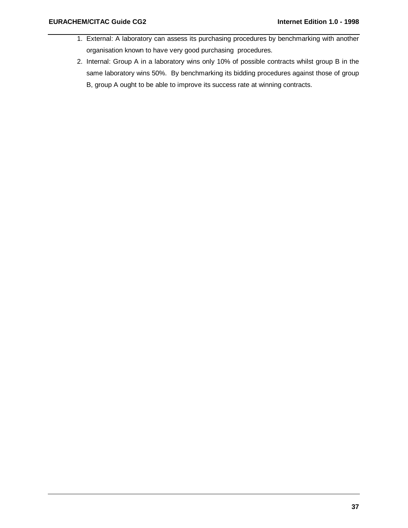- 1. External: A laboratory can assess its purchasing procedures by benchmarking with another organisation known to have very good purchasing procedures.
- 2. Internal: Group A in a laboratory wins only 10% of possible contracts whilst group B in the same laboratory wins 50%. By benchmarking its bidding procedures against those of group B, group A ought to be able to improve its success rate at winning contracts.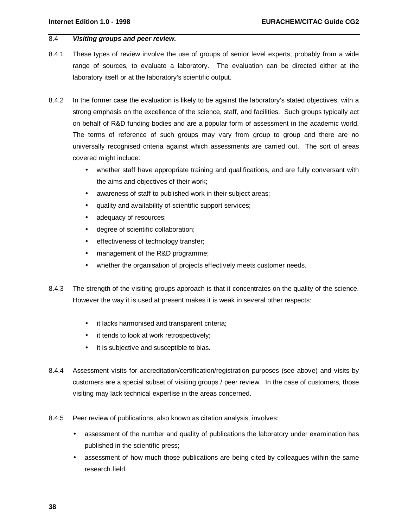# 8.4 *Visiting groups and peer review.*

- 8.4.1 These types of review involve the use of groups of senior level experts, probably from a wide range of sources, to evaluate a laboratory. The evaluation can be directed either at the laboratory itself or at the laboratory's scientific output.
- 8.4.2 In the former case the evaluation is likely to be against the laboratory's stated objectives, with a strong emphasis on the excellence of the science, staff, and facilities. Such groups typically act on behalf of R&D funding bodies and are a popular form of assessment in the academic world. The terms of reference of such groups may vary from group to group and there are no universally recognised criteria against which assessments are carried out. The sort of areas covered might include:
	- whether staff have appropriate training and qualifications, and are fully conversant with the aims and objectives of their work;
	- awareness of staff to published work in their subject areas;
	- quality and availability of scientific support services;
	- adequacy of resources;
	- degree of scientific collaboration;
	- effectiveness of technology transfer;
	- management of the R&D programme;
	- whether the organisation of projects effectively meets customer needs.
- 8.4.3 The strength of the visiting groups approach is that it concentrates on the quality of the science. However the way it is used at present makes it is weak in several other respects:
	- it lacks harmonised and transparent criteria;
	- it tends to look at work retrospectively;
	- it is subjective and susceptible to bias.
- 8.4.4 Assessment visits for accreditation/certification/registration purposes (see above) and visits by customers are a special subset of visiting groups / peer review. In the case of customers, those visiting may lack technical expertise in the areas concerned.
- 8.4.5 Peer review of publications, also known as citation analysis, involves:
	- assessment of the number and quality of publications the laboratory under examination has published in the scientific press;
	- assessment of how much those publications are being cited by colleagues within the same research field.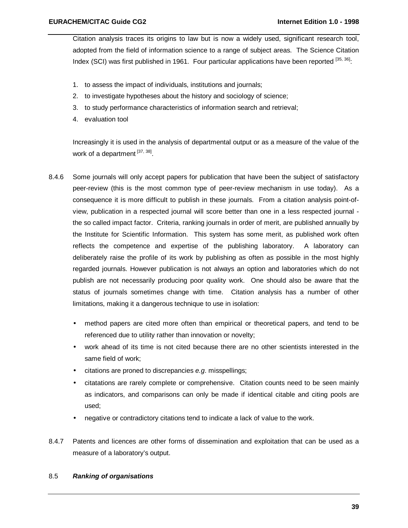Citation analysis traces its origins to law but is now a widely used, significant research tool, adopted from the field of information science to a range of subject areas. The Science Citation Index (SCI) was first published in 1961. Four particular applications have been reported [35, 36].

- 1. to assess the impact of individuals, institutions and journals;
- 2. to investigate hypotheses about the history and sociology of science;
- 3. to study performance characteristics of information search and retrieval;
- 4. evaluation tool

Increasingly it is used in the analysis of departmental output or as a measure of the value of the work of a department <sup>[37, 38]</sup>.

- 8.4.6 Some journals will only accept papers for publication that have been the subject of satisfactory peer-review (this is the most common type of peer-review mechanism in use today). As a consequence it is more difficult to publish in these journals. From a citation analysis point-ofview, publication in a respected journal will score better than one in a less respected journal the so called impact factor. Criteria, ranking journals in order of merit, are published annually by the Institute for Scientific Information. This system has some merit, as published work often reflects the competence and expertise of the publishing laboratory. A laboratory can deliberately raise the profile of its work by publishing as often as possible in the most highly regarded journals. However publication is not always an option and laboratories which do not publish are not necessarily producing poor quality work. One should also be aware that the status of journals sometimes change with time. Citation analysis has a number of other limitations, making it a dangerous technique to use in isolation:
	- method papers are cited more often than empirical or theoretical papers, and tend to be referenced due to utility rather than innovation or novelty;
	- work ahead of its time is not cited because there are no other scientists interested in the same field of work;
	- citations are proned to discrepancies *e.g*. misspellings;
	- citatations are rarely complete or comprehensive. Citation counts need to be seen mainly as indicators, and comparisons can only be made if identical citable and citing pools are used;
	- negative or contradictory citations tend to indicate a lack of value to the work.
- 8.4.7 Patents and licences are other forms of dissemination and exploitation that can be used as a measure of a laboratory's output.

#### 8.5 *Ranking of organisations*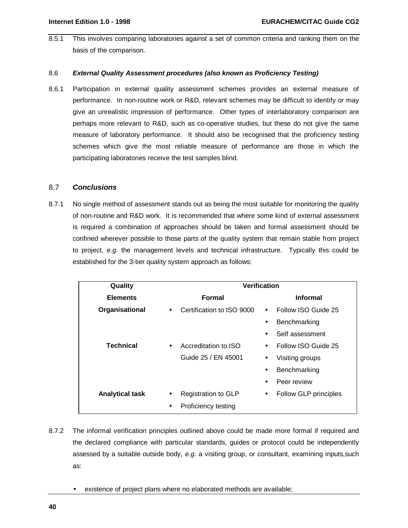8.5.1 This involves comparing laboratories against a set of common criteria and ranking them on the basis of the comparison.

## 8.6 *External Quality Assessment procedures (also known as Proficiency Testing)*

8.6.1 Participation in external quality assessment schemes provides an external measure of performance. In non-routine work or R&D, relevant schemes may be difficult to identify or may give an unrealistic impression of performance. Other types of interlaboratory comparison are perhaps more relevant to R&D, such as co-operative studies, but these do not give the same measure of laboratory performance. It should also be recognised that the proficiency testing schemes which give the most reliable measure of performance are those in which the participating laboratories receive the test samples blind.

# 8.7 *Conclusions*

8.7.1 No single method of assessment stands out as being the most suitable for monitoring the quality of non-routine and R&D work. It is recommended that where some kind of external assessment is required a combination of approaches should be taken and formal assessment should be confined wherever possible to those parts of the quality system that remain stable from project to project, *e.g*. the management levels and technical infrastructure. Typically this could be established for the 3-tier quality system approach as follows:

| Quality                |           | <b>Verification</b>        |           |                       |  |
|------------------------|-----------|----------------------------|-----------|-----------------------|--|
| <b>Elements</b>        |           | <b>Formal</b>              |           | <b>Informal</b>       |  |
| Organisational         |           | Certification to ISO 9000  | $\bullet$ | Follow ISO Guide 25   |  |
|                        |           |                            | $\bullet$ | Benchmarking          |  |
|                        |           |                            | $\bullet$ | Self assessment       |  |
| <b>Technical</b>       | $\bullet$ | Accreditation to ISO       | $\bullet$ | Follow ISO Guide 25   |  |
|                        |           | Guide 25 / EN 45001        | $\bullet$ | Visiting groups       |  |
|                        |           |                            | $\bullet$ | Benchmarking          |  |
|                        |           |                            | $\bullet$ | Peer review           |  |
| <b>Analytical task</b> |           | <b>Registration to GLP</b> | ٠         | Follow GLP principles |  |
|                        | $\bullet$ | Proficiency testing        |           |                       |  |

8.7.2 The informal verification principles outlined above could be made more formal if required and the declared compliance with particular standards, guides or protocol could be independently assessed by a suitable outside body, *e.g*. a visiting group, or consultant, examining inputs,such as:

• existence of project plans where no elaborated methods are available;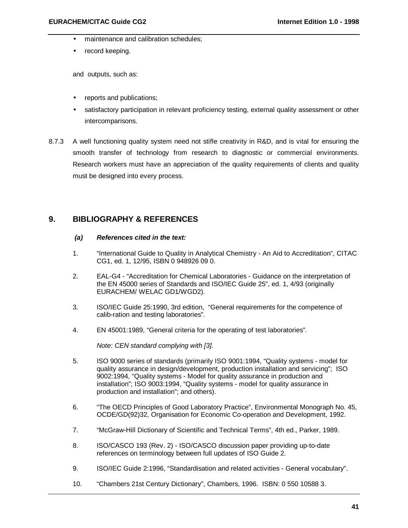- maintenance and calibration schedules;
- record keeping.

and outputs, such as:

- reports and publications;
- satisfactory participation in relevant proficiency testing, external quality assessment or other intercomparisons.
- 8.7.3 A well functioning quality system need not stifle creativity in R&D, and is vital for ensuring the smooth transfer of technology from research to diagnostic or commercial environments. Research workers must have an appreciation of the quality requirements of clients and quality must be designed into every process.

# **9. BIBLIOGRAPHY & REFERENCES**

#### *(a) References cited in the text:*

- 1. "International Guide to Quality in Analytical Chemistry An Aid to Accreditation", CITAC CG1, ed. 1, 12/95, ISBN 0 948926 09 0.
- 2. EAL-G4 "Accreditation for Chemical Laboratories Guidance on the interpretation of the EN 45000 series of Standards and ISO/IEC Guide 25", ed. 1, 4/93 (originally EURACHEM/ WELAC GD1/WGD2).
- 3. ISO/IEC Guide 25:1990, 3rd edition, "General requirements for the competence of calib-ration and testing laboratories".
- 4. EN 45001:1989, "General criteria for the operating of test laboratories".

*Note: CEN standard complying with [3].*

- 5. ISO 9000 series of standards (primarily ISO 9001:1994, "Quality systems model for quality assurance in design/development, production installation and servicing"; ISO 9002:1994, "Quality systems - Model for quality assurance in production and installation"; ISO 9003:1994, "Quality systems - model for quality assurance in production and installation"; and others).
- 6. "The OECD Principles of Good Laboratory Practice", Environmental Monograph No. 45, OCDE/GD(92)32, Organisation for Economic Co-operation and Development, 1992.
- 7. "McGraw-Hill Dictionary of Scientific and Technical Terms", 4th ed., Parker, 1989.
- 8. ISO/CASCO 193 (Rev. 2) ISO/CASCO discussion paper providing up-to-date references on terminology between full updates of ISO Guide 2.
- 9. ISO/IEC Guide 2:1996, "Standardisation and related activities General vocabulary".
- 10. "Chambers 21st Century Dictionary", Chambers, 1996. ISBN: 0 550 10588 3.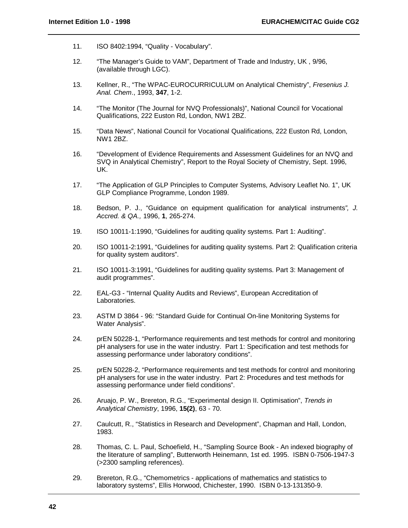- 11. ISO 8402:1994, "Quality Vocabulary".
- 12. "The Manager's Guide to VAM", Department of Trade and Industry, UK , 9/96, (available through LGC).
- 13. Kellner, R., "The WPAC-EUROCURRICULUM on Analytical Chemistry", *Fresenius J. Anal. Chem*., 1993, **347**, 1-2.
- 14. "The Monitor (The Journal for NVQ Professionals)", National Council for Vocational Qualifications, 222 Euston Rd, London, NW1 2BZ.
- 15. "Data News", National Council for Vocational Qualifications, 222 Euston Rd, London, NW1 2BZ.
- 16. "Development of Evidence Requirements and Assessment Guidelines for an NVQ and SVQ in Analytical Chemistry", Report to the Royal Society of Chemistry, Sept. 1996, UK.
- 17. "The Application of GLP Principles to Computer Systems, Advisory Leaflet No. 1", UK GLP Compliance Programme, London 1989.
- 18. Bedson, P. J., "Guidance on equipment qualification for analytical instruments*", J. Accred. & QA.,* 1996, **1**, 265-274.
- 19. ISO 10011-1:1990, "Guidelines for auditing quality systems. Part 1: Auditing".
- 20. ISO 10011-2:1991, "Guidelines for auditing quality systems. Part 2: Qualification criteria for quality system auditors".
- 21. ISO 10011-3:1991, "Guidelines for auditing quality systems. Part 3: Management of audit programmes".
- 22. EAL-G3 "Internal Quality Audits and Reviews", European Accreditation of Laboratories.
- 23. ASTM D 3864 96: "Standard Guide for Continual On-line Monitoring Systems for Water Analysis".
- 24. prEN 50228-1, "Performance requirements and test methods for control and monitoring pH analysers for use in the water industry. Part 1: Specification and test methods for assessing performance under laboratory conditions".
- 25. prEN 50228-2, "Performance requirements and test methods for control and monitoring pH analysers for use in the water industry. Part 2: Procedures and test methods for assessing performance under field conditions".
- 26. Aruajo, P. W., Brereton, R.G., "Experimental design II. Optimisation", *Trends in Analytical Chemistry*, 1996, **15(2)**, 63 - 70.
- 27. Caulcutt, R., "Statistics in Research and Development", Chapman and Hall, London, 1983.
- 28. Thomas, C. L. Paul, Schoefield, H., "Sampling Source Book An indexed biography of the literature of sampling", Butterworth Heinemann, 1st ed. 1995. ISBN 0-7506-1947-3 (>2300 sampling references).
- 29. Brereton, R.G., "Chemometrics applications of mathematics and statistics to laboratory systems", Ellis Horwood, Chichester, 1990. ISBN 0-13-131350-9.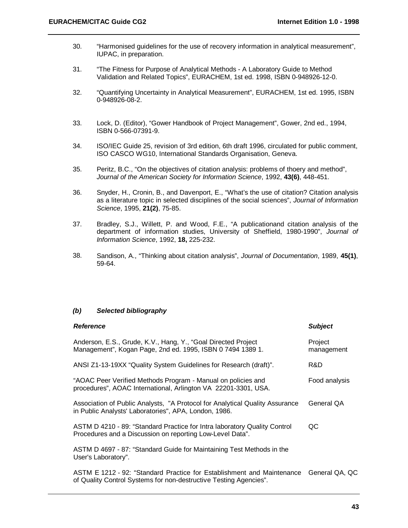- 30. "Harmonised guidelines for the use of recovery information in analytical measurement", IUPAC, in preparation.
- 31. "The Fitness for Purpose of Analytical Methods A Laboratory Guide to Method Validation and Related Topics", EURACHEM, 1st ed. 1998, ISBN 0-948926-12-0.
- 32. "Quantifying Uncertainty in Analytical Measurement", EURACHEM, 1st ed. 1995, ISBN 0-948926-08-2.
- 33. Lock, D. (Editor), "Gower Handbook of Project Management", Gower, 2nd ed., 1994, ISBN 0-566-07391-9.
- 34. ISO/IEC Guide 25, revision of 3rd edition, 6th draft 1996, circulated for public comment, ISO CASCO WG10, International Standards Organisation, Geneva.
- 35. Peritz, B.C., "On the objectives of citation analysis: problems of thoery and method", *Journal of the American Society for Information Science*, 1992, **43(6)**, 448-451.
- 36. Snyder, H., Cronin, B., and Davenport, E., "What's the use of citation? Citation analysis as a literature topic in selected disciplines of the social sciences", *Journal of Information Science*, 1995, **21(2)**, 75-85.
- 37. Bradley, S.J., Willett, P. and Wood, F.E., "A publicationand citation analysis of the department of information studies, University of Sheffield, 1980-1990", *Journal of Information Science*, 1992, **18,** 225-232.
- 38. Sandison, A., "Thinking about citation analysis", *Journal of Documentation*, 1989, **45(1)**, 59-64.

#### *(b) Selected bibliography*

| <b>Reference</b>                                                                                                                            | <b>Subject</b>        |
|---------------------------------------------------------------------------------------------------------------------------------------------|-----------------------|
| Anderson, E.S., Grude, K.V., Hang, Y., "Goal Directed Project<br>Management", Kogan Page, 2nd ed. 1995, ISBN 0 7494 1389 1.                 | Project<br>management |
| ANSI Z1-13-19XX "Quality System Guidelines for Research (draft)".                                                                           | R&D                   |
| "AOAC Peer Verified Methods Program - Manual on policies and<br>procedures", AOAC International, Arlington VA 22201-3301, USA.              | Food analysis         |
| Association of Public Analysts, "A Protocol for Analytical Quality Assurance<br>in Public Analysts' Laboratories", APA, London, 1986.       | General QA            |
| ASTM D 4210 - 89: "Standard Practice for Intra laboratory Quality Control<br>Procedures and a Discussion on reporting Low-Level Data".      | QC                    |
| ASTM D 4697 - 87: "Standard Guide for Maintaining Test Methods in the<br>User's Laboratory".                                                |                       |
| ASTM E 1212 - 92: "Standard Practice for Establishment and Maintenance<br>of Quality Control Systems for non-destructive Testing Agencies". | General QA, QC        |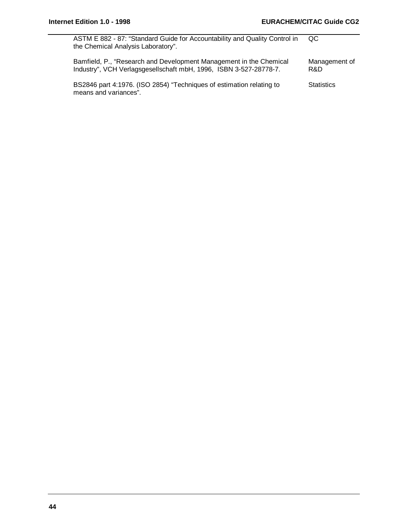| ASTM E 882 - 87: "Standard Guide for Accountability and Quality Control in |  |
|----------------------------------------------------------------------------|--|
| the Chemical Analysis Laboratory".                                         |  |

Bamfield, P., "Research and Development Management in the Chemical Industry", VCH Verlagsgesellschaft mbH, 1996, ISBN 3-527-28778-7. Management of R&D

BS2846 part 4:1976. (ISO 2854) "Techniques of estimation relating to means and variances". **Statistics**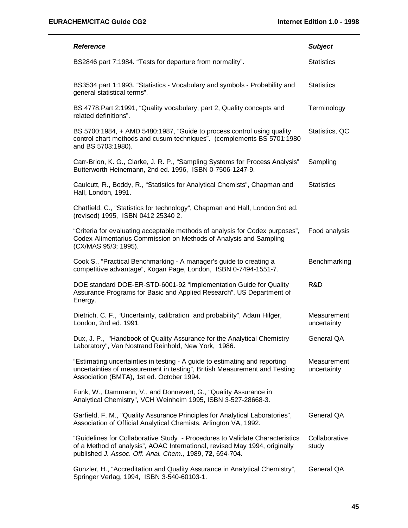| <b>Reference</b>                                                                                                                                                                                                       | <b>Subject</b>             |
|------------------------------------------------------------------------------------------------------------------------------------------------------------------------------------------------------------------------|----------------------------|
| BS2846 part 7:1984. "Tests for departure from normality".                                                                                                                                                              | <b>Statistics</b>          |
| BS3534 part 1:1993. "Statistics - Vocabulary and symbols - Probability and<br>general statistical terms".                                                                                                              | <b>Statistics</b>          |
| BS 4778: Part 2:1991, "Quality vocabulary, part 2, Quality concepts and<br>related definitions".                                                                                                                       | Terminology                |
| BS 5700:1984, + AMD 5480:1987, "Guide to process control using quality<br>control chart methods and cusum techniques". (complements BS 5701:1980<br>and BS 5703:1980).                                                 | Statistics, QC             |
| Carr-Brion, K. G., Clarke, J. R. P., "Sampling Systems for Process Analysis"<br>Butterworth Heinemann, 2nd ed. 1996, ISBN 0-7506-1247-9.                                                                               | Sampling                   |
| Caulcutt, R., Boddy, R., "Statistics for Analytical Chemists", Chapman and<br>Hall, London, 1991.                                                                                                                      | <b>Statistics</b>          |
| Chatfield, C., "Statistics for technology", Chapman and Hall, London 3rd ed.<br>(revised) 1995, ISBN 0412 25340 2.                                                                                                     |                            |
| "Criteria for evaluating acceptable methods of analysis for Codex purposes",<br>Codex Alimentarius Commission on Methods of Analysis and Sampling<br>(CX/MAS 95/3; 1995).                                              | Food analysis              |
| Cook S., "Practical Benchmarking - A manager's guide to creating a<br>competitive advantage", Kogan Page, London, ISBN 0-7494-1551-7.                                                                                  | Benchmarking               |
| DOE standard DOE-ER-STD-6001-92 "Implementation Guide for Quality<br>Assurance Programs for Basic and Applied Research", US Department of<br>Energy.                                                                   | R&D                        |
| Dietrich, C. F., "Uncertainty, calibration and probability", Adam Hilger,<br>London, 2nd ed. 1991.                                                                                                                     | Measurement<br>uncertainty |
| Dux, J. P., "Handbook of Quality Assurance for the Analytical Chemistry<br>Laboratory", Van Nostrand Reinhold, New York, 1986.                                                                                         | General QA                 |
| "Estimating uncertainties in testing - A guide to estimating and reporting<br>uncertainties of measurement in testing", British Measurement and Testing<br>Association (BMTA), 1st ed. October 1994.                   | Measurement<br>uncertainty |
| Funk, W., Dammann, V., and Donnevert, G., "Quality Assurance in<br>Analytical Chemistry", VCH Weinheim 1995, ISBN 3-527-28668-3.                                                                                       |                            |
| Garfield, F. M., "Quality Assurance Principles for Analytical Laboratories",<br>Association of Official Analytical Chemists, Arlington VA, 1992.                                                                       | General QA                 |
| "Guidelines for Collaborative Study - Procedures to Validate Characteristics<br>of a Method of analysis", AOAC International, revised May 1994, originally<br>published J. Assoc. Off. Anal. Chem., 1989, 72, 694-704. | Collaborative<br>study     |
| Günzler, H., "Accreditation and Quality Assurance in Analytical Chemistry",<br>Springer Verlag, 1994, ISBN 3-540-60103-1.                                                                                              | General QA                 |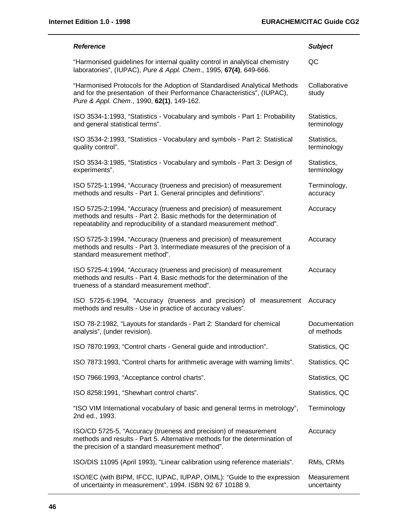| <b>Reference</b>                                                                                                                                                                                                   | <b>Subject</b>              |
|--------------------------------------------------------------------------------------------------------------------------------------------------------------------------------------------------------------------|-----------------------------|
| "Harmonised guidelines for internal quality control in analytical chemistry<br>laboratories", (IUPAC), Pure & Appl. Chem., 1995, 67(4), 649-666.                                                                   | QC                          |
| "Harmonised Protocols for the Adoption of Standardised Analytical Methods<br>and for the presentation of their Performance Characteristics", (IUPAC),<br>Pure & Appl. Chem., 1990, 62(1), 149-162.                 | Collaborative<br>study      |
| ISO 3534-1:1993, "Statistics - Vocabulary and symbols - Part 1: Probability<br>and general statistical terms".                                                                                                     | Statistics,<br>terminology  |
| ISO 3534-2:1993, "Statistics - Vocabulary and symbols - Part 2: Statistical<br>quality control".                                                                                                                   | Statistics,<br>terminology  |
| ISO 3534-3:1985, "Statistics - Vocabulary and symbols - Part 3: Design of<br>experiments".                                                                                                                         | Statistics,<br>terminology  |
| ISO 5725-1:1994, "Accuracy (trueness and precision) of measurement<br>methods and results - Part 1. General principles and definitions".                                                                           | Terminology,<br>accuracy    |
| ISO 5725-2:1994, "Accuracy (trueness and precision) of measurement<br>methods and results - Part 2. Basic methods for the determination of<br>repeatability and reproducibility of a standard measurement method". | Accuracy                    |
| ISO 5725-3:1994, "Accuracy (trueness and precision) of measurement<br>methods and results - Part 3. Intermediate measures of the precision of a<br>standard measurement method".                                   | Accuracy                    |
| ISO 5725-4:1994, "Accuracy (trueness and precision) of measurement<br>methods and results - Part 4. Basic methods for the determination of the<br>trueness of a standard measurement method".                      | Accuracy                    |
| ISO 5725-6:1994, "Accuracy (trueness and precision) of measurement<br>methods and results - Use in practice of accuracy values".                                                                                   | Accuracy                    |
| ISO 78-2:1982, "Layouts for standards - Part 2: Standard for chemical<br>analysis", (under revision).                                                                                                              | Documentation<br>of methods |
| ISO 7870:1993, "Control charts - General guide and introduction".                                                                                                                                                  | Statistics, QC              |
| ISO 7873:1993, "Control charts for arithmetic average with warning limits".                                                                                                                                        | Statistics, QC              |
| ISO 7966:1993, "Acceptance control charts".                                                                                                                                                                        | Statistics, QC              |
| ISO 8258:1991, "Shewhart control charts".                                                                                                                                                                          | Statistics, QC              |
| "ISO VIM International vocabulary of basic and general terms in metrology",<br>2nd ed., 1993.                                                                                                                      | Terminology                 |
| ISO/CD 5725-5, "Accuracy (trueness and precision) of measurement<br>methods and results - Part 5. Alternative methods for the determination of<br>the precision of a standard measurement method".                 | Accuracy                    |
| ISO/DIS 11095 (April 1993), "Linear calibration using reference materials".                                                                                                                                        | RMs, CRMs                   |
| ISO/IEC (with BIPM, IFCC, IUPAC, IUPAP, OIML): "Guide to the expression<br>of uncertainty in measurement", 1994. ISBN 92 67 10188 9.                                                                               | Measurement<br>uncertainty  |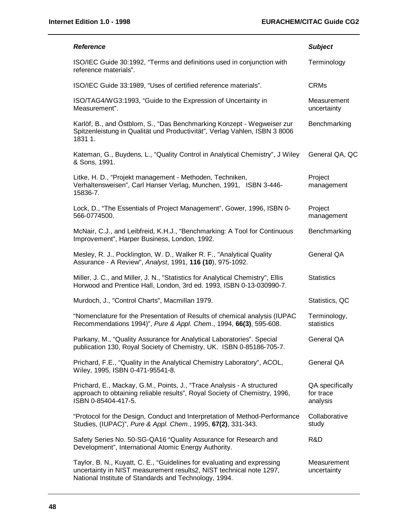| <b>Reference</b>                                                                                                                                                                                        | <b>Subject</b>                           |
|---------------------------------------------------------------------------------------------------------------------------------------------------------------------------------------------------------|------------------------------------------|
| ISO/IEC Guide 30:1992, "Terms and definitions used in conjunction with<br>reference materials".                                                                                                         | Terminology                              |
| ISO/IEC Guide 33:1989, "Uses of certified reference materials".                                                                                                                                         | <b>CRMs</b>                              |
| ISO/TAG4/WG3:1993, "Guide to the Expression of Uncertainty in<br>Measurement".                                                                                                                          | Measurement<br>uncertainty               |
| Karlöf, B., and Östblom, S., "Das Benchmarking Konzept - Wegweiser zur<br>Spitzenleistung in Qualität und Productivität", Verlag Vahlen, ISBN 3 8006<br>1831 1.                                         | Benchmarking                             |
| Kateman, G., Buydens, L., "Quality Control in Analytical Chemistry", J Wiley<br>& Sons, 1991.                                                                                                           | General QA, QC                           |
| Litke, H. D., "Projekt management - Methoden, Techniken,<br>Verhaltensweisen", Carl Hanser Verlag, Munchen, 1991, ISBN 3-446-<br>15836-7.                                                               | Project<br>management                    |
| Lock, D., "The Essentials of Project Management", Gower, 1996, ISBN 0-<br>566-0774500.                                                                                                                  | Project<br>management                    |
| McNair, C.J., and Leibfreid, K.H.J., "Benchmarking: A Tool for Continuous<br>Improvement", Harper Business, London, 1992.                                                                               | Benchmarking                             |
| Mesley, R. J., Pocklington, W. D., Walker R. F., "Analytical Quality<br>Assurance - A Review", Analyst, 1991, 116 (10), 975-1092.                                                                       | General QA                               |
| Miller, J. C., and Miller, J. N., "Statistics for Analytical Chemistry", Ellis<br>Horwood and Prentice Hall, London, 3rd ed. 1993, ISBN 0-13-030990-7.                                                  | <b>Statistics</b>                        |
| Murdoch, J., "Control Charts", Macmillan 1979.                                                                                                                                                          | Statistics, QC                           |
| "Nomenclature for the Presentation of Results of chemical analysis (IUPAC<br>Recommendations 1994)", Pure & Appl. Chem., 1994, 66(3), 595-608.                                                          | Terminology,<br>statistics               |
| Parkany, M., "Quality Assurance for Analytical Laboratories". Special<br>publication 130, Royal Society of Chemistry, UK. ISBN 0-85186-705-7.                                                           | <b>General QA</b>                        |
| Prichard, F.E., "Quality in the Analytical Chemistry Laboratory", ACOL,<br>Wiley, 1995, ISBN 0-471-95541-8.                                                                                             | General QA                               |
| Prichard, E., Mackay, G.M., Points, J., "Trace Analysis - A structured<br>approach to obtaining reliable results", Royal Society of Chemistry, 1996,<br>ISBN 0-85404-417-5.                             | QA specifically<br>for trace<br>analysis |
| "Protocol for the Design, Conduct and Interpretation of Method-Performance<br>Studies, (IUPAC)", Pure & Appl. Chem., 1995, 67(2), 331-343.                                                              | Collaborative<br>study                   |
| Safety Series No. 50-SG-QA16 "Quality Assurance for Research and<br>Development", International Atomic Energy Authority.                                                                                | R&D                                      |
| Taylor, B. N., Kuyatt, C. E., "Guidelines for evaluating and expressing<br>uncertainty in NIST measurement results2, NIST technical note 1297,<br>National Institute of Standards and Technology, 1994. | Measurement<br>uncertainty               |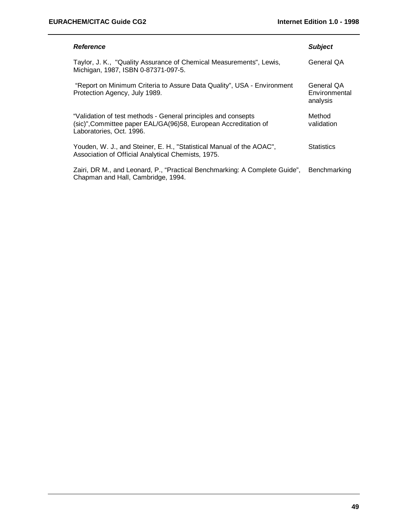| <b>Reference</b>                                                                                                                                             | <b>Subject</b>                          |
|--------------------------------------------------------------------------------------------------------------------------------------------------------------|-----------------------------------------|
| Taylor, J. K., "Quality Assurance of Chemical Measurements", Lewis,<br>Michigan, 1987, ISBN 0-87371-097-5.                                                   | General QA                              |
| "Report on Minimum Criteria to Assure Data Quality", USA - Environment<br>Protection Agency, July 1989.                                                      | General QA<br>Environmental<br>analysis |
| "Validation of test methods - General principles and consepts<br>(sic)", Committee paper EAL/GA(96)58, European Accreditation of<br>Laboratories, Oct. 1996. | Method<br>validation                    |
| Youden, W. J., and Steiner, E. H., "Statistical Manual of the AOAC",<br>Association of Official Analytical Chemists, 1975.                                   | <b>Statistics</b>                       |
| Zairi, DR M., and Leonard, P., "Practical Benchmarking: A Complete Guide",<br>Chapman and Hall, Cambridge, 1994.                                             | Benchmarking                            |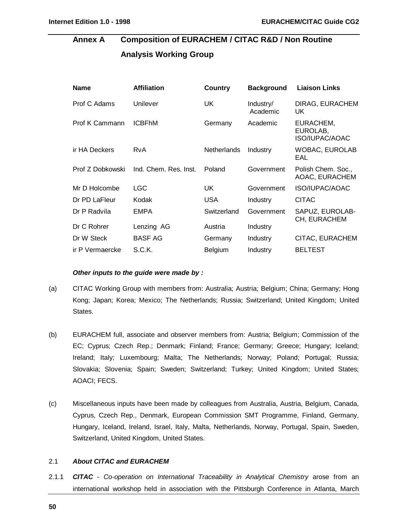# **Annex A Composition of EURACHEM / CITAC R&D / Non Routine Analysis Working Group**

| <b>Name</b>      | <b>Affiliation</b>    | Country     | <b>Background</b>     | <b>Liaison Links</b>                    |
|------------------|-----------------------|-------------|-----------------------|-----------------------------------------|
| Prof C Adams     | Unilever              | UK.         | Industry/<br>Academic | DIRAG, EURACHEM<br>UK.                  |
| Prof K Cammann   | <b>ICBFhM</b>         | Germany     | Academic              | EURACHEM,<br>EUROLAB,<br>ISO/IUPAC/AOAC |
| ir HA Deckers    | RvA                   | Netherlands | Industry              | <b>WOBAC, EUROLAB</b><br>EAL.           |
| Prof Z Dobkowski | Ind. Chem. Res. Inst. | Poland      | Government            | Polish Chem. Soc.,<br>AOAC, EURACHEM    |
| Mr D Holcombe    | <b>LGC</b>            | UK          | Government            | ISO/IUPAC/AOAC                          |
| Dr PD LaFleur    | Kodak                 | <b>USA</b>  | Industry              | <b>CITAC</b>                            |
| Dr P Radvila     | <b>EMPA</b>           | Switzerland | Government            | SAPUZ, EUROLAB-<br>CH, EURACHEM         |
| Dr C Rohrer      | Lenzing AG            | Austria     | Industry              |                                         |
| Dr W Steck       | <b>BASF AG</b>        | Germany     | <b>Industry</b>       | CITAC, EURACHEM                         |
| ir P Vermaercke  | S.C.K.                | Belgium     | Industry              | <b>BELTEST</b>                          |

#### *Other inputs to the guide were made by :*

- (a) CITAC Working Group with members from: Australia; Austria; Belgium; China; Germany; Hong Kong; Japan; Korea; Mexico; The Netherlands; Russia; Switzerland; United Kingdom; United States.
- (b) EURACHEM full, associate and observer members from: Austria; Belgium; Commission of the EC; Cyprus; Czech Rep.; Denmark; Finland; France; Germany; Greece; Hungary; Iceland; Ireland; Italy; Luxembourg; Malta; The Netherlands; Norway; Poland; Portugal; Russia; Slovakia; Slovenia; Spain; Sweden; Switzerland; Turkey; United Kingdom; United States; AOACI; FECS.
- (c) Miscellaneous inputs have been made by colleagues from Australia, Austria, Belgium, Canada, Cyprus, Czech Rep., Denmark, European Commission SMT Programme, Finland, Germany, Hungary, Iceland, Ireland, Israel, Italy, Malta, Netherlands, Norway, Portugal, Spain, Sweden, Switzerland, United Kingdom, United States.

# 2.1 *About CITAC and EURACHEM*

2.1.1 *CITAC* - *Co-operation on International Traceability in Analytical Chemistry* arose from an international workshop held in association with the Pittsburgh Conference in Atlanta, March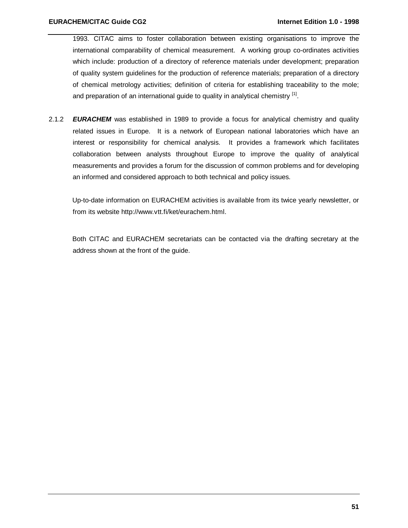1993. CITAC aims to foster collaboration between existing organisations to improve the international comparability of chemical measurement. A working group co-ordinates activities which include: production of a directory of reference materials under development; preparation of quality system guidelines for the production of reference materials; preparation of a directory of chemical metrology activities; definition of criteria for establishing traceability to the mole; and preparation of an international guide to quality in analytical chemistry  $^{[1]}$ .

2.1.2 *EURACHEM* was established in 1989 to provide a focus for analytical chemistry and quality related issues in Europe. It is a network of European national laboratories which have an interest or responsibility for chemical analysis. It provides a framework which facilitates collaboration between analysts throughout Europe to improve the quality of analytical measurements and provides a forum for the discussion of common problems and for developing an informed and considered approach to both technical and policy issues.

Up-to-date information on EURACHEM activities is available from its twice yearly newsletter, or from its website http://www.vtt.fi/ket/eurachem.html.

Both CITAC and EURACHEM secretariats can be contacted via the drafting secretary at the address shown at the front of the guide.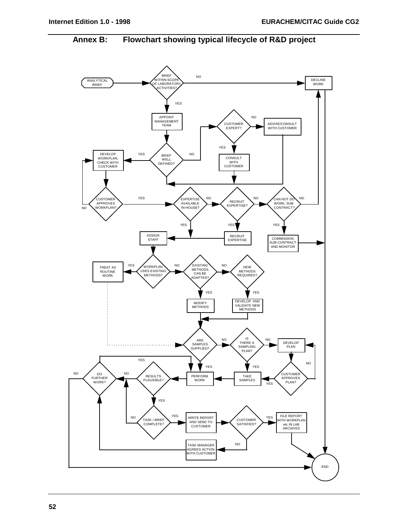

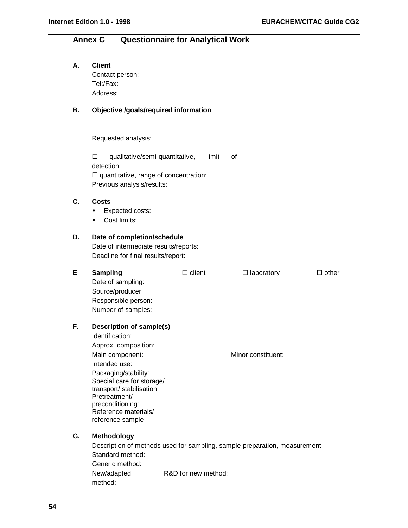# **Annex C Questionnaire for Analytical Work**

**A. Client** Contact person: Tel:/Fax: Address:

# **B. Objective /goals/required information**

Requested analysis:

® qualitative/semi-quantitative, limit of detection:  $\square$  quantitative, range of concentration: Previous analysis/results:

#### **C. Costs**

- Expected costs:
- Cost limits:

# **D. Date of completion/schedule**

Date of intermediate results/reports: Deadline for final results/report:

| Е  | Sampling<br>Date of sampling:<br>Source/producer:<br>Responsible person:<br>Number of samples:                                                                                                                                                                                    | $\Box$ client       | $\Box$ laboratory                                                         | $\Box$ other |
|----|-----------------------------------------------------------------------------------------------------------------------------------------------------------------------------------------------------------------------------------------------------------------------------------|---------------------|---------------------------------------------------------------------------|--------------|
| F. | <b>Description of sample(s)</b><br>Identification:<br>Approx. composition:<br>Main component:<br>Intended use:<br>Packaging/stability:<br>Special care for storage/<br>transport/ stabilisation:<br>Pretreatment/<br>preconditioning:<br>Reference materials/<br>reference sample |                     | Minor constituent:                                                        |              |
| G. | <b>Methodology</b><br>Standard method:<br>Generic method:<br>New/adapted<br>method:                                                                                                                                                                                               | R&D for new method: | Description of methods used for sampling, sample preparation, measurement |              |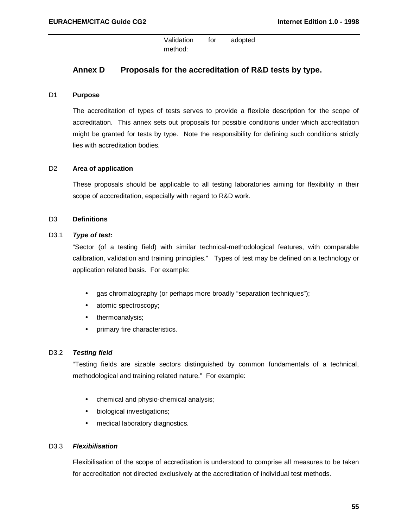Validation for adopted method:

# **Annex D Proposals for the accreditation of R&D tests by type.**

# D1 **Purpose**

The accreditation of types of tests serves to provide a flexible description for the scope of accreditation. This annex sets out proposals for possible conditions under which accreditation might be granted for tests by type. Note the responsibility for defining such conditions strictly lies with accreditation bodies.

## D2 **Area of application**

These proposals should be applicable to all testing laboratories aiming for flexibility in their scope of acccreditation, especially with regard to R&D work.

## D3 **Definitions**

## D3.1 *Type of test:*

"Sector (of a testing field) with similar technical-methodological features, with comparable calibration, validation and training principles." Types of test may be defined on a technology or application related basis. For example:

- gas chromatography (or perhaps more broadly "separation techniques");
- atomic spectroscopy;
- thermoanalysis;
- primary fire characteristics.

# D3.2 *Testing field*

"Testing fields are sizable sectors distinguished by common fundamentals of a technical, methodological and training related nature." For example:

- chemical and physio-chemical analysis;
- biological investigations;
- medical laboratory diagnostics.

#### D3.3 *Flexibilisation*

Flexibilisation of the scope of accreditation is understood to comprise all measures to be taken for accreditation not directed exclusively at the accreditation of individual test methods.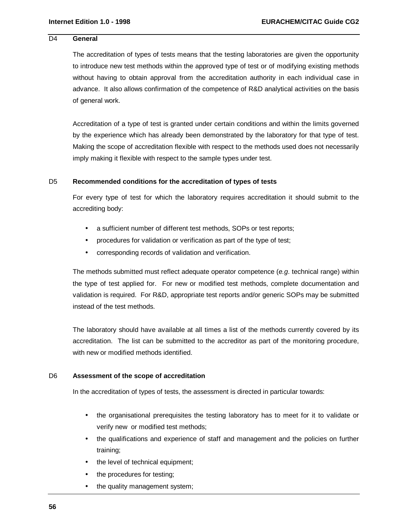#### D4 **General**

The accreditation of types of tests means that the testing laboratories are given the opportunity to introduce new test methods within the approved type of test or of modifying existing methods without having to obtain approval from the accreditation authority in each individual case in advance. It also allows confirmation of the competence of R&D analytical activities on the basis of general work.

Accreditation of a type of test is granted under certain conditions and within the limits governed by the experience which has already been demonstrated by the laboratory for that type of test. Making the scope of accreditation flexible with respect to the methods used does not necessarily imply making it flexible with respect to the sample types under test.

#### D5 **Recommended conditions for the accreditation of types of tests**

For every type of test for which the laboratory requires accreditation it should submit to the accrediting body:

- a sufficient number of different test methods, SOPs or test reports;
- procedures for validation or verification as part of the type of test;
- corresponding records of validation and verification.

The methods submitted must reflect adequate operator competence (*e.g*. technical range) within the type of test applied for. For new or modified test methods, complete documentation and validation is required. For R&D, appropriate test reports and/or generic SOPs may be submitted instead of the test methods.

The laboratory should have available at all times a list of the methods currently covered by its accreditation. The list can be submitted to the accreditor as part of the monitoring procedure, with new or modified methods identified.

#### D6 **Assessment of the scope of accreditation**

In the accreditation of types of tests, the assessment is directed in particular towards:

- the organisational prerequisites the testing laboratory has to meet for it to validate or verify new or modified test methods;
- the qualifications and experience of staff and management and the policies on further training;
- the level of technical equipment;
- the procedures for testing;
- the quality management system;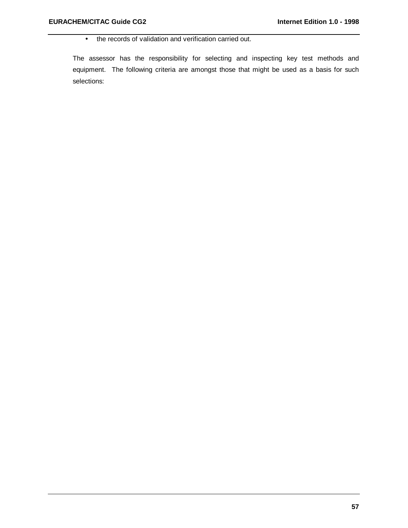• the records of validation and verification carried out.

The assessor has the responsibility for selecting and inspecting key test methods and equipment. The following criteria are amongst those that might be used as a basis for such selections: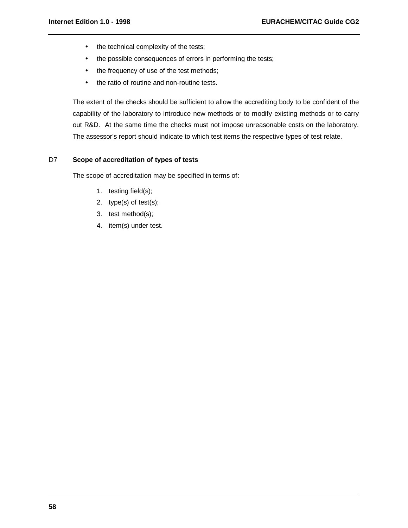- the technical complexity of the tests;
- the possible consequences of errors in performing the tests;
- the frequency of use of the test methods;
- the ratio of routine and non-routine tests.

The extent of the checks should be sufficient to allow the accrediting body to be confident of the capability of the laboratory to introduce new methods or to modify existing methods or to carry out R&D. At the same time the checks must not impose unreasonable costs on the laboratory. The assessor's report should indicate to which test items the respective types of test relate.

# D7 **Scope of accreditation of types of tests**

The scope of accreditation may be specified in terms of:

- 1. testing field(s);
- 2. type(s) of test(s);
- 3. test method(s);
- 4. item(s) under test.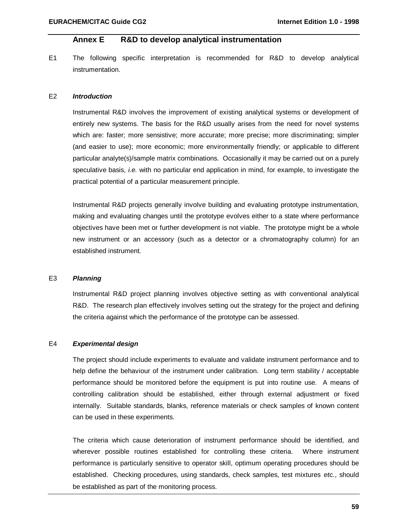# **Annex E R&D to develop analytical instrumentation**

E1 The following specific interpretation is recommended for R&D to develop analytical instrumentation.

#### E2 *Introduction*

Instrumental R&D involves the improvement of existing analytical systems or development of entirely new systems. The basis for the R&D usually arises from the need for novel systems which are: faster; more sensistive; more accurate; more precise; more discriminating; simpler (and easier to use); more economic; more environmentally friendly; or applicable to different particular analyte(s)/sample matrix combinations. Occasionally it may be carried out on a purely speculative basis, *i.e.* with no particular end application in mind, for example, to investigate the practical potential of a particular measurement principle.

Instrumental R&D projects generally involve building and evaluating prototype instrumentation, making and evaluating changes until the prototype evolves either to a state where performance objectives have been met or further development is not viable. The prototype might be a whole new instrument or an accessory (such as a detector or a chromatography column) for an established instrument*.*

#### E3 *Planning*

Instrumental R&D project planning involves objective setting as with conventional analytical R&D. The research plan effectively involves setting out the strategy for the project and defining the criteria against which the performance of the prototype can be assessed.

#### E4 *Experimental design*

The project should include experiments to evaluate and validate instrument performance and to help define the behaviour of the instrument under calibration. Long term stability / acceptable performance should be monitored before the equipment is put into routine use. A means of controlling calibration should be established, either through external adjustment or fixed internally. Suitable standards, blanks, reference materials or check samples of known content can be used in these experiments.

The criteria which cause deterioration of instrument performance should be identified, and wherever possible routines established for controlling these criteria. Where instrument performance is particularly sensitive to operator skill, optimum operating procedures should be established. Checking procedures, using standards, check samples, test mixtures *etc.*, should be established as part of the monitoring process.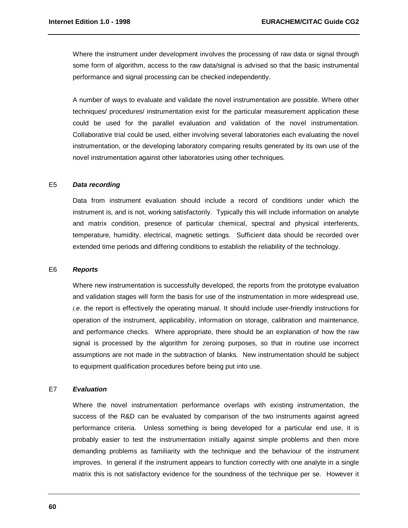Where the instrument under development involves the processing of raw data or signal through some form of algorithm, access to the raw data/signal is advised so that the basic instrumental performance and signal processing can be checked independently.

A number of ways to evaluate and validate the novel instrumentation are possible. Where other techniques/ procedures/ instrumentation exist for the particular measurement application these could be used for the parallel evaluation and validation of the novel instrumentation. Collaborative trial could be used, either involving several laboratories each evaluating the novel instrumentation, or the developing laboratory comparing results generated by its own use of the novel instrumentation against other laboratories using other techniques.

#### E5 *Data recording*

Data from instrument evaluation should include a record of conditions under which the instrument is, and is not, working satisfactorily. Typically this will include information on analyte and matrix condition, presence of particular chemical, spectral and physical interferents, temperature, humidity, electrical, magnetic settings. Sufficient data should be recorded over extended time periods and differing conditions to establish the reliability of the technology.

#### E6 *Reports*

Where new instrumentation is successfully developed, the reports from the prototype evaluation and validation stages will form the basis for use of the instrumentation in more widespread use, *i.e*. the report is effectively the operating manual. It should include user-friendly instructions for operation of the instrument, applicability, information on storage, calibration and maintenance, and performance checks. Where appropriate, there should be an explanation of how the raw signal is processed by the algorithm for zeroing purposes, so that in routine use incorrect assumptions are not made in the subtraction of blanks. New instrumentation should be subject to equipment qualification procedures before being put into use.

#### E7 *Evaluation*

Where the novel instrumentation performance overlaps with existing instrumentation, the success of the R&D can be evaluated by comparison of the two instruments against agreed performance criteria. Unless something is being developed for a particular end use, it is probably easier to test the instrumentation initially against simple problems and then more demanding problems as familiarity with the technique and the behaviour of the instrument improves. In general if the instrument appears to function correctly with one analyte in a single matrix this is not satisfactory evidence for the soundness of the technique per se. However it